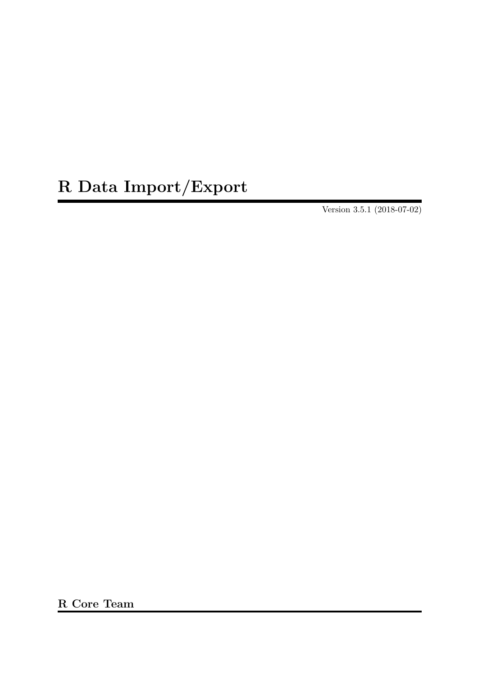# R Data Import/Export

Version 3.5.1 (2018-07-02)

R Core Team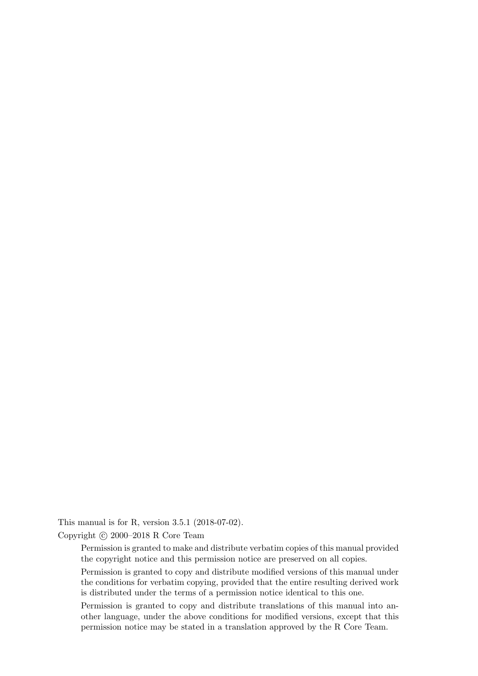This manual is for R, version 3.5.1 (2018-07-02).

Copyright (c) 2000–2018 R Core Team

Permission is granted to make and distribute verbatim copies of this manual provided the copyright notice and this permission notice are preserved on all copies.

Permission is granted to copy and distribute modified versions of this manual under the conditions for verbatim copying, provided that the entire resulting derived work is distributed under the terms of a permission notice identical to this one.

Permission is granted to copy and distribute translations of this manual into another language, under the above conditions for modified versions, except that this permission notice may be stated in a translation approved by the R Core Team.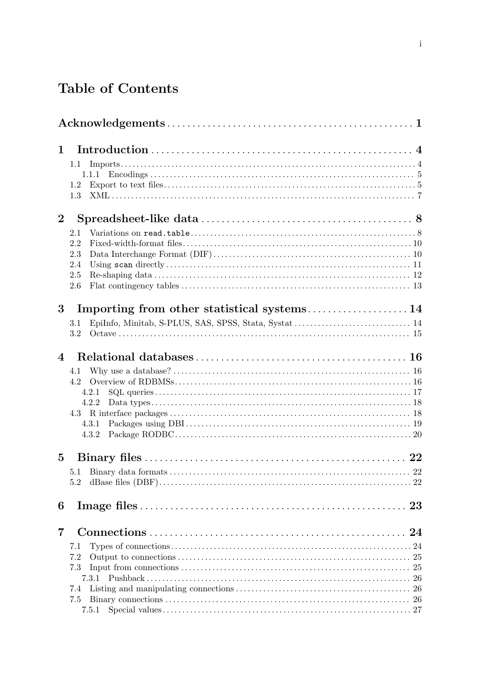## Table of Contents

| $\mathbf 1$    | $1.1\,$<br>1.2<br>1.3                                         |
|----------------|---------------------------------------------------------------|
| $\bf{2}$       | 2.1<br>2.2<br>2.3<br>2.4<br>2.5<br>2.6                        |
| 3              | Importing from other statistical systems 14<br>$3.1\,$<br>3.2 |
| $\overline{4}$ | 4.1<br>4.2<br>4.2.1<br>4.2.2<br>4.3<br>4.3.1<br>4.3.2         |
| $\bf{5}$       | 5.2                                                           |
| 6              |                                                               |
| 7              | 7.1<br>7.2<br>7.3<br>-25<br>7.4<br>7.5<br>7.5.1               |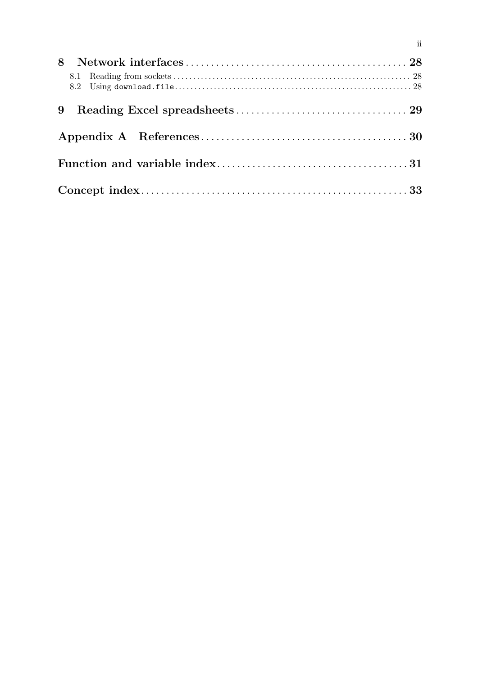| 9 |  |
|---|--|
|   |  |
|   |  |
|   |  |

ii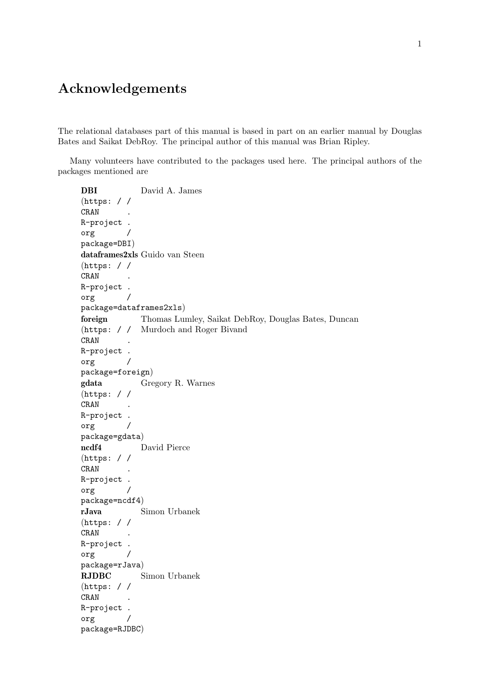### <span id="page-4-0"></span>Acknowledgements

The relational databases part of this manual is based in part on an earlier manual by Douglas Bates and Saikat DebRoy. The principal author of this manual was Brian Ripley.

Many volunteers have contributed to the packages used here. The principal authors of the packages mentioned are

[DBI](https://CRAN.R-project.org/package=DBI) ([https: / /](https://CRAN.R-project.org/package=DBI) [CRAN .](https://CRAN.R-project.org/package=DBI) [R-project .](https://CRAN.R-project.org/package=DBI) [org /](https://CRAN.R-project.org/package=DBI) [package=DBI](https://CRAN.R-project.org/package=DBI)) David A. James [dataframes2x](https://CRAN.R-project.org/package=dataframes2xls)ls Guido van Steen ([https: / /](https://CRAN.R-project.org/package=dataframes2xls)  $\rm CRAN$ [R-project .](https://CRAN.R-project.org/package=dataframes2xls) [org /](https://CRAN.R-project.org/package=dataframes2xls) [package=dataframes2xls](https://CRAN.R-project.org/package=dataframes2xls)) [foreign](https://CRAN.R-project.org/package=foreign) ([https: / /](https://CRAN.R-project.org/package=foreign) Murdoch and Roger Bivand [CRAN .](https://CRAN.R-project.org/package=foreign) [R-project .](https://CRAN.R-project.org/package=foreign) [org /](https://CRAN.R-project.org/package=foreign) [package=foreign](https://CRAN.R-project.org/package=foreign)) Thomas Lumley, Saikat DebRoy, Douglas Bates, Duncan [gdata](https://CRAN.R-project.org/package=gdata) ([https: / /](https://CRAN.R-project.org/package=gdata) [CRAN .](https://CRAN.R-project.org/package=gdata) [R-project .](https://CRAN.R-project.org/package=gdata) [org /](https://CRAN.R-project.org/package=gdata) [package=gdata](https://CRAN.R-project.org/package=gdata)) Gregory R. Warnes [ncdf4](https://CRAN.R-project.org/package=ncdf4) ([https: / /](https://CRAN.R-project.org/package=ncdf4) [CRAN .](https://CRAN.R-project.org/package=ncdf4) [R-project .](https://CRAN.R-project.org/package=ncdf4) [org /](https://CRAN.R-project.org/package=ncdf4) [package=ncdf4](https://CRAN.R-project.org/package=ncdf4)) David Pierce [rJava](https://CRAN.R-project.org/package=rJava) ([https: / /](https://CRAN.R-project.org/package=rJava) [CRAN .](https://CRAN.R-project.org/package=rJava) [R-project .](https://CRAN.R-project.org/package=rJava) [org /](https://CRAN.R-project.org/package=rJava) [package=rJava](https://CRAN.R-project.org/package=rJava)) Simon Urbanek [RJDBC](https://CRAN.R-project.org/package=RJDBC) ([https: / /](https://CRAN.R-project.org/package=RJDBC)  $CRAN$ [R-project .](https://CRAN.R-project.org/package=RJDBC) [org /](https://CRAN.R-project.org/package=RJDBC) [package=RJDBC](https://CRAN.R-project.org/package=RJDBC)) Simon Urbanek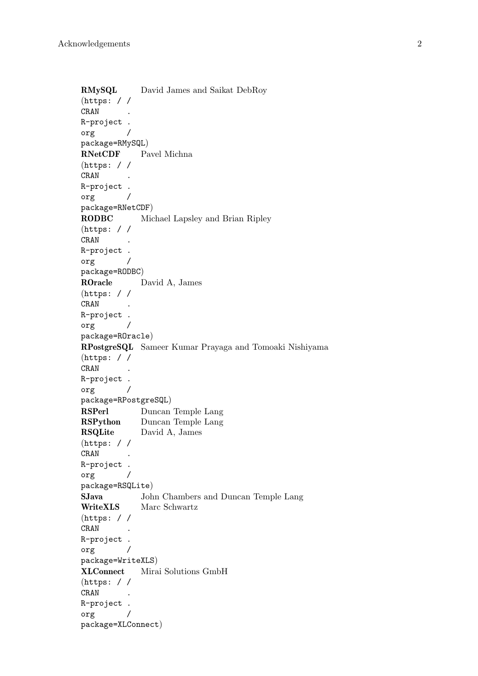[RMySQL](https://CRAN.R-project.org/package=RMySQL) ([https: / /](https://CRAN.R-project.org/package=RMySQL)  $CRAN$ [R-project .](https://CRAN.R-project.org/package=RMySQL) [org /](https://CRAN.R-project.org/package=RMySQL) [package=RMySQL](https://CRAN.R-project.org/package=RMySQL)) David James and Saikat DebRoy [RNetCDF](https://CRAN.R-project.org/package=RNetCDF) ([https: / /](https://CRAN.R-project.org/package=RNetCDF) [CRAN .](https://CRAN.R-project.org/package=RNetCDF) [R-project .](https://CRAN.R-project.org/package=RNetCDF) [org /](https://CRAN.R-project.org/package=RNetCDF) [package=RNetCDF](https://CRAN.R-project.org/package=RNetCDF)) Pavel Michna [RODBC](https://CRAN.R-project.org/package=RODBC) ([https: / /](https://CRAN.R-project.org/package=RODBC)  $\rm CRAN$ [R-project .](https://CRAN.R-project.org/package=RODBC) [org /](https://CRAN.R-project.org/package=RODBC) [package=RODBC](https://CRAN.R-project.org/package=RODBC)) Michael Lapsley and Brian Ripley [ROracle](https://CRAN.R-project.org/package=ROracle) ([https: / /](https://CRAN.R-project.org/package=ROracle) [CRAN .](https://CRAN.R-project.org/package=ROracle) [R-project .](https://CRAN.R-project.org/package=ROracle) [org /](https://CRAN.R-project.org/package=ROracle) [package=ROracle](https://CRAN.R-project.org/package=ROracle)) David A, James [RPostgreSQL](https://CRAN.R-project.org/package=RPostgreSQL) Sameer Kumar Prayaga and Tomoaki Nishiyama ([https: / /](https://CRAN.R-project.org/package=RPostgreSQL) [CRAN .](https://CRAN.R-project.org/package=RPostgreSQL) [R-project .](https://CRAN.R-project.org/package=RPostgreSQL) [org /](https://CRAN.R-project.org/package=RPostgreSQL) [package=RPostgreSQL](https://CRAN.R-project.org/package=RPostgreSQL)) RSPerl Duncan Temple Lang RSPython Duncan Temple Lang [RSQLite](https://CRAN.R-project.org/package=RSQLite) ([https: / /](https://CRAN.R-project.org/package=RSQLite)  $CRAN$ [R-project .](https://CRAN.R-project.org/package=RSQLite) [org /](https://CRAN.R-project.org/package=RSQLite) [package=RSQLite](https://CRAN.R-project.org/package=RSQLite)) David A, James SJava John Chambers and Duncan Temple Lang [WriteXLS](https://CRAN.R-project.org/package=WriteXLS) ([https: / /](https://CRAN.R-project.org/package=WriteXLS)  $\rm CRAN$ [R-project .](https://CRAN.R-project.org/package=WriteXLS) [org /](https://CRAN.R-project.org/package=WriteXLS) [package=WriteXLS](https://CRAN.R-project.org/package=WriteXLS)) Marc Schwartz [XLConnect](https://CRAN.R-project.org/package=XLConnect) ([https: / /](https://CRAN.R-project.org/package=XLConnect)  $\rm CRAN$ [R-project .](https://CRAN.R-project.org/package=XLConnect) [org /](https://CRAN.R-project.org/package=XLConnect) [package=XLConnect](https://CRAN.R-project.org/package=XLConnect)) Mirai Solutions GmbH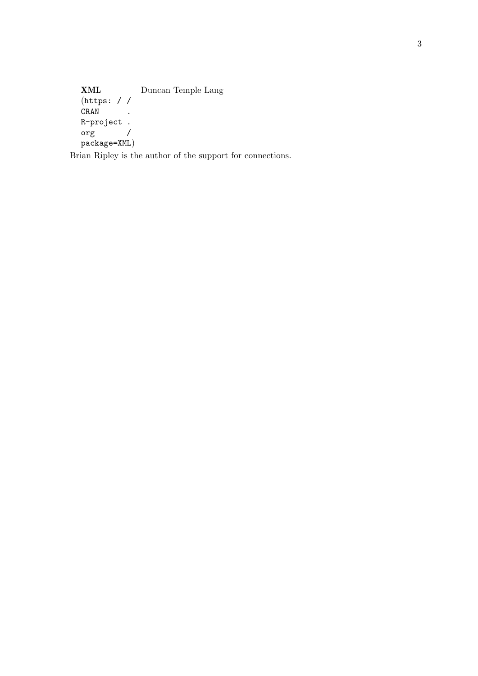| XML                   | Duncan Temple Lang |
|-----------------------|--------------------|
| $(\text{https: } / )$ |                    |
| CRAN                  |                    |
| R-project.            |                    |
| org                   |                    |
| package=XML)          |                    |

Brian Ripley is the author of the support for connections.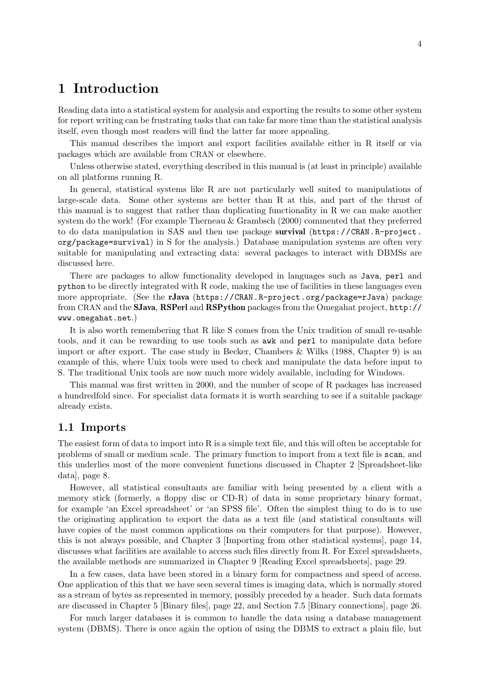### <span id="page-7-0"></span>1 Introduction

Reading data into a statistical system for analysis and exporting the results to some other system for report writing can be frustrating tasks that can take far more time than the statistical analysis itself, even though most readers will find the latter far more appealing.

This manual describes the import and export facilities available either in R itself or via packages which are available from CRAN or elsewhere.

Unless otherwise stated, everything described in this manual is (at least in principle) available on all platforms running R.

In general, statistical systems like R are not particularly well suited to manipulations of large-scale data. Some other systems are better than R at this, and part of the thrust of this manual is to suggest that rather than duplicating functionality in R we can make another system do the work! (For example Therneau & Grambsch (2000) commented that they preferred to do data manipulation in SAS and then use package survival ([https://CRAN.R-project.](https://CRAN.R-project.org/package=survival) [org/package=survival](https://CRAN.R-project.org/package=survival)) in S for the analysis.) Database manipulation systems are often very suitable for manipulating and extracting data: several packages to interact with DBMSs are discussed here.

There are packages to allow functionality developed in languages such as Java, perl and python to be directly integrated with R code, making the use of facilities in these languages even more appropriate. (See the rJava (<https://CRAN.R-project.org/package=rJava>) package from CRAN and the SJava, RSPerl and RSPython packages from the Omegahat project, [http://](http://www.omegahat.net) [www.omegahat.net](http://www.omegahat.net).)

It is also worth remembering that R like S comes from the Unix tradition of small re-usable tools, and it can be rewarding to use tools such as awk and perl to manipulate data before import or after export. The case study in Becker, Chambers & Wilks (1988, Chapter 9) is an example of this, where Unix tools were used to check and manipulate the data before input to S. The traditional Unix tools are now much more widely available, including for Windows.

This manual was first written in 2000, and the number of scope of R packages has increased a hundredfold since. For specialist data formats it is worth searching to see if a suitable package already exists.

### 1.1 Imports

The easiest form of data to import into R is a simple text file, and this will often be acceptable for problems of small or medium scale. The primary function to import from a text file is scan, and this underlies most of the more convenient functions discussed in [Chapter 2 \[Spreadsheet-like](#page-11-0) [data\], page 8.](#page-11-0)

However, all statistical consultants are familiar with being presented by a client with a memory stick (formerly, a floppy disc or CD-R) of data in some proprietary binary format, for example 'an Excel spreadsheet' or 'an SPSS file'. Often the simplest thing to do is to use the originating application to export the data as a text file (and statistical consultants will have copies of the most common applications on their computers for that purpose). However, this is not always possible, and [Chapter 3 \[Importing from other statistical systems\], page 14,](#page-17-0) discusses what facilities are available to access such files directly from R. For Excel spreadsheets, the available methods are summarized in [Chapter 9 \[Reading Excel spreadsheets\], page 29.](#page-32-0)

In a few cases, data have been stored in a binary form for compactness and speed of access. One application of this that we have seen several times is imaging data, which is normally stored as a stream of bytes as represented in memory, possibly preceded by a header. Such data formats are discussed in [Chapter 5 \[Binary files\], page 22,](#page-25-0) and [Section 7.5 \[Binary connections\], page 26.](#page-29-1)

For much larger databases it is common to handle the data using a database management system (DBMS). There is once again the option of using the DBMS to extract a plain file, but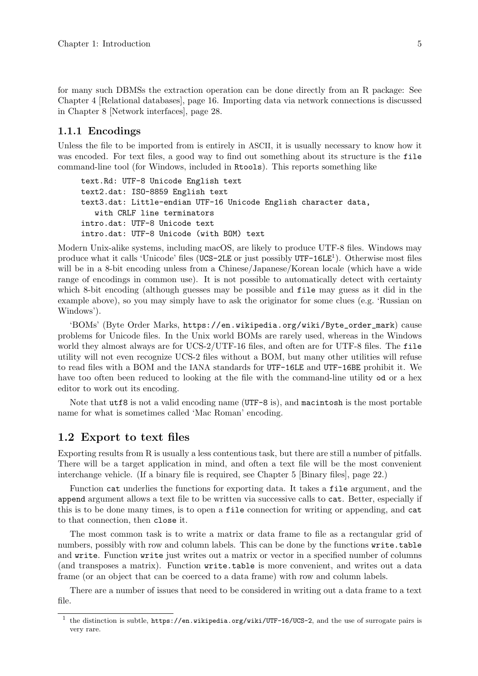<span id="page-8-0"></span>for many such DBMSs the extraction operation can be done directly from an R package: See [Chapter 4 \[Relational databases\], page 16.](#page-19-0) Importing data via network connections is discussed in [Chapter 8 \[Network interfaces\], page 28.](#page-31-0)

#### 1.1.1 Encodings

Unless the file to be imported from is entirely in ASCII, it is usually necessary to know how it was encoded. For text files, a good way to find out something about its structure is the file command-line tool (for Windows, included in Rtools). This reports something like

```
text.Rd: UTF-8 Unicode English text
text2.dat: ISO-8859 English text
text3.dat: Little-endian UTF-16 Unicode English character data,
   with CRLF line terminators
intro.dat: UTF-8 Unicode text
intro.dat: UTF-8 Unicode (with BOM) text
```
Modern Unix-alike systems, including macOS, are likely to produce UTF-8 files. Windows may produce what it calls 'Unicode' files (UCS-2LE or just possibly UTF-16LE<sup>1</sup>). Otherwise most files will be in a 8-bit encoding unless from a Chinese/Japanese/Korean locale (which have a wide range of encodings in common use). It is not possible to automatically detect with certainty which 8-bit encoding (although guesses may be possible and file may guess as it did in the example above), so you may simply have to ask the originator for some clues (e.g. 'Russian on Windows').

'BOMs' (Byte Order Marks, [https://en.wikipedia.org/wiki/Byte\\_order\\_mark](https://en.wikipedia.org/wiki/Byte_order_mark)) cause problems for Unicode files. In the Unix world BOMs are rarely used, whereas in the Windows world they almost always are for UCS-2/UTF-16 files, and often are for UTF-8 files. The file utility will not even recognize UCS-2 files without a BOM, but many other utilities will refuse to read files with a BOM and the IANA standards for UTF-16LE and UTF-16BE prohibit it. We have too often been reduced to looking at the file with the command-line utility od or a hex editor to work out its encoding.

Note that  $\text{utf8}$  is not a valid encoding name (UTF-8 is), and macintosh is the most portable name for what is sometimes called 'Mac Roman' encoding.

### <span id="page-8-1"></span>1.2 Export to text files

Exporting results from R is usually a less contentious task, but there are still a number of pitfalls. There will be a target application in mind, and often a text file will be the most convenient interchange vehicle. (If a binary file is required, see [Chapter 5 \[Binary files\], page 22.](#page-25-0))

Function cat underlies the functions for exporting data. It takes a file argument, and the append argument allows a text file to be written via successive calls to cat. Better, especially if this is to be done many times, is to open a file connection for writing or appending, and cat to that connection, then close it.

The most common task is to write a matrix or data frame to file as a rectangular grid of numbers, possibly with row and column labels. This can be done by the functions write.table and write. Function write just writes out a matrix or vector in a specified number of columns (and transposes a matrix). Function write.table is more convenient, and writes out a data frame (or an object that can be coerced to a data frame) with row and column labels.

There are a number of issues that need to be considered in writing out a data frame to a text file.

<sup>&</sup>lt;sup>1</sup> the distinction is subtle, <https://en.wikipedia.org/wiki/UTF-16/UCS-2>, and the use of surrogate pairs is very rare.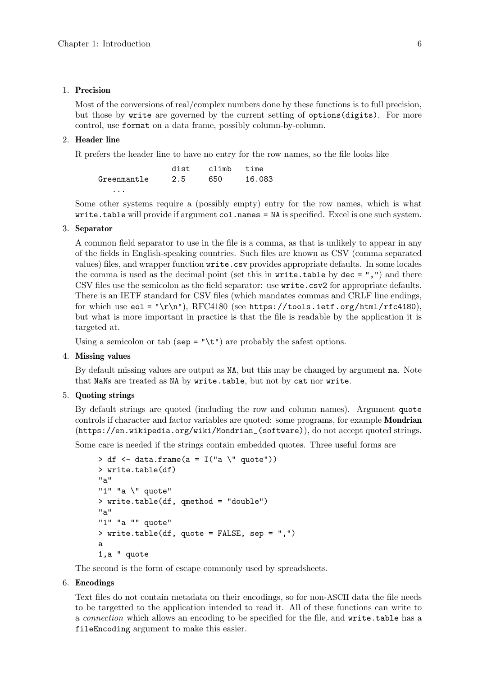#### <span id="page-9-0"></span>1. Precision

Most of the conversions of real/complex numbers done by these functions is to full precision, but those by write are governed by the current setting of options(digits). For more control, use format on a data frame, possibly column-by-column.

#### 2. Header line

R prefers the header line to have no entry for the row names, so the file looks like

|             | dist | climb time |        |
|-------------|------|------------|--------|
| Greenmantle | 2.5  | 650        | 16.083 |
| $\cdots$    |      |            |        |

Some other systems require a (possibly empty) entry for the row names, which is what write.table will provide if argument col.names = NA is specified. Excel is one such system.

#### 3. Separator

A common field separator to use in the file is a comma, as that is unlikely to appear in any of the fields in English-speaking countries. Such files are known as CSV (comma separated values) files, and wrapper function write.csv provides appropriate defaults. In some locales the comma is used as the decimal point (set this in write.table by  $\text{dec} = "$ ,") and there CSV files use the semicolon as the field separator: use write.csv2 for appropriate defaults. There is an IETF standard for CSV files (which mandates commas and CRLF line endings, for which use  $e$ ol = "\r\n"), RFC4180 (see <https://tools.ietf.org/html/rfc4180>), but what is more important in practice is that the file is readable by the application it is targeted at.

Using a semicolon or tab (sep = "\t") are probably the safest options.

#### 4. Missing values

By default missing values are output as NA, but this may be changed by argument na. Note that NaNs are treated as NA by write.table, but not by cat nor write.

#### 5. Quoting strings

By default strings are quoted (including the row and column names). Argument quote controls if character and factor variables are quoted: some programs, for example Mondrian ([https://en.wikipedia.org/wiki/Mondrian\\_\(software\)](https://en.wikipedia.org/wiki/Mondrian_(software))), do not accept quoted strings.

Some care is needed if the strings contain embedded quotes. Three useful forms are

```
> df < - data frame(a = I("a \ '] quote'))> write.table(df)
"a"
"1" "a \" quote"
> write.table(df, qmethod = "double")
"a"
"1" "a "" quote"
> write.table(df, quote = FALSE, sep = ",")
a
1,a " quote
```
The second is the form of escape commonly used by spreadsheets.

#### 6. Encodings

Text files do not contain metadata on their encodings, so for non-ASCII data the file needs to be targetted to the application intended to read it. All of these functions can write to a connection which allows an encoding to be specified for the file, and write.table has a fileEncoding argument to make this easier.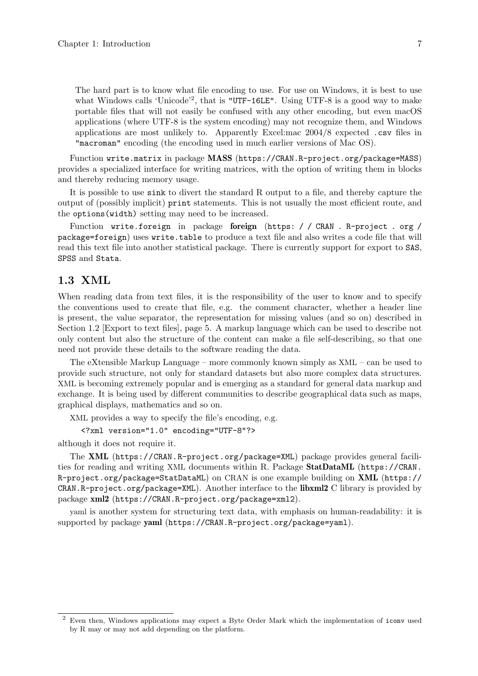<span id="page-10-0"></span>The hard part is to know what file encoding to use. For use on Windows, it is best to use what Windows calls 'Unicode'<sup>2</sup>, that is "UTF-16LE". Using UTF-8 is a good way to make portable files that will not easily be confused with any other encoding, but even macOS applications (where UTF-8 is the system encoding) may not recognize them, and Windows applications are most unlikely to. Apparently Excel:mac 2004/8 expected .csv files in "macroman" encoding (the encoding used in much earlier versions of Mac OS).

Function write.matrix in package MASS (<https://CRAN.R-project.org/package=MASS>) provides a specialized interface for writing matrices, with the option of writing them in blocks and thereby reducing memory usage.

It is possible to use sink to divert the standard R output to a file, and thereby capture the output of (possibly implicit) print statements. This is not usually the most efficient route, and the options(width) setting may need to be increased.

Function write.foreign in package foreign ([https: / / CRAN . R-project . org /](https://CRAN.R-project.org/package=foreign) [package=foreign](https://CRAN.R-project.org/package=foreign)) uses write.table to produce a text file and also writes a code file that will read this text file into another statistical package. There is currently support for export to SAS, SPSS and Stata.

### 1.3 XML

When reading data from text files, it is the responsibility of the user to know and to specify the conventions used to create that file, e.g. the comment character, whether a header line is present, the value separator, the representation for missing values (and so on) described in [Section 1.2 \[Export to text files\], page 5.](#page-8-1) A markup language which can be used to describe not only content but also the structure of the content can make a file self-describing, so that one need not provide these details to the software reading the data.

The eXtensible Markup Language – more commonly known simply as XML – can be used to provide such structure, not only for standard datasets but also more complex data structures. XML is becoming extremely popular and is emerging as a standard for general data markup and exchange. It is being used by different communities to describe geographical data such as maps, graphical displays, mathematics and so on.

XML provides a way to specify the file's encoding, e.g.

```
<?xml version="1.0" encoding="UTF-8"?>
```
although it does not require it.

The **XML** (<https://CRAN.R-project.org/package=XML>) package provides general facilities for reading and writing XML documents within R. Package StatDataML ([https://CRAN.](https://CRAN.R-project.org/package=StatDataML) [R-project.org/package=StatDataML](https://CRAN.R-project.org/package=StatDataML)) on CRAN is one example building on XML ([https://](https://CRAN.R-project.org/package=XML) [CRAN.R-project.org/package=XML](https://CRAN.R-project.org/package=XML)). Another interface to the libxml2 C library is provided by package xml2 (<https://CRAN.R-project.org/package=xml2>).

yaml is another system for structuring text data, with emphasis on human-readability: it is supported by package yaml (<https://CRAN.R-project.org/package=yaml>).

<sup>2</sup> Even then, Windows applications may expect a Byte Order Mark which the implementation of iconv used by R may or may not add depending on the platform.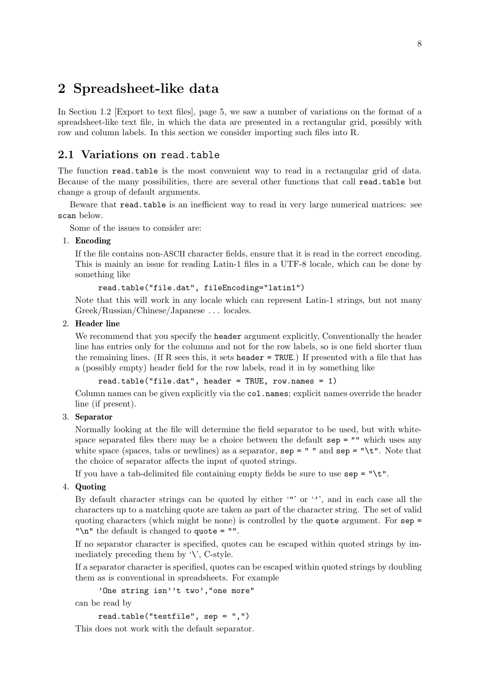### <span id="page-11-0"></span>2 Spreadsheet-like data

In [Section 1.2 \[Export to text files\], page 5,](#page-8-1) we saw a number of variations on the format of a spreadsheet-like text file, in which the data are presented in a rectangular grid, possibly with row and column labels. In this section we consider importing such files into R.

### 2.1 Variations on read.table

The function read.table is the most convenient way to read in a rectangular grid of data. Because of the many possibilities, there are several other functions that call read.table but change a group of default arguments.

Beware that read.table is an inefficient way to read in very large numerical matrices: see scan below.

Some of the issues to consider are:

#### 1. Encoding

If the file contains non-ASCII character fields, ensure that it is read in the correct encoding. This is mainly an issue for reading Latin-1 files in a UTF-8 locale, which can be done by something like

```
read.table("file.dat", fileEncoding="latin1")
```
Note that this will work in any locale which can represent Latin-1 strings, but not many Greek/Russian/Chinese/Japanese . . . locales.

#### 2. Header line

We recommend that you specify the header argument explicitly, Conventionally the header line has entries only for the columns and not for the row labels, so is one field shorter than the remaining lines. (If R sees this, it sets header  $=$  TRUE.) If presented with a file that has a (possibly empty) header field for the row labels, read it in by something like

read.table("file.dat", header = TRUE, row.names = 1)

Column names can be given explicitly via the col.names; explicit names override the header line (if present).

#### 3. Separator

Normally looking at the file will determine the field separator to be used, but with whitespace separated files there may be a choice between the default sep = "" which uses any white space (spaces, tabs or newlines) as a separator,  $\text{sep} = "$  " and  $\text{sep} = "\text{t}".$  Note that the choice of separator affects the input of quoted strings.

If you have a tab-delimited file containing empty fields be sure to use  $\text{sep} = \text{"\texttt{t}'}.$ 

#### 4. Quoting

By default character strings can be quoted by either  $\cdot$ "' or  $\cdot$ "', and in each case all the characters up to a matching quote are taken as part of the character string. The set of valid quoting characters (which might be none) is controlled by the quote argument. For  $\epsilon$ ep = "\n" the default is changed to quote = "".

If no separator character is specified, quotes can be escaped within quoted strings by immediately preceding them by  $\vee$ , C-style.

If a separator character is specified, quotes can be escaped within quoted strings by doubling them as is conventional in spreadsheets. For example

'One string isn''t two',"one more" can be read by

read.table("testfile", sep = ",")

This does not work with the default separator.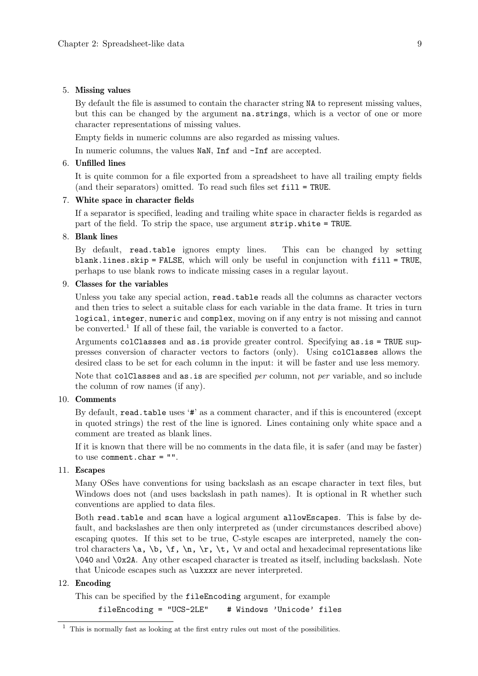#### <span id="page-12-0"></span>5. Missing values

By default the file is assumed to contain the character string NA to represent missing values, but this can be changed by the argument na.strings, which is a vector of one or more character representations of missing values.

Empty fields in numeric columns are also regarded as missing values.

In numeric columns, the values NaN, Inf and  $\text{-Inf}$  are accepted.

#### 6. Unfilled lines

It is quite common for a file exported from a spreadsheet to have all trailing empty fields (and their separators) omitted. To read such files set fill = TRUE.

#### 7. White space in character fields

If a separator is specified, leading and trailing white space in character fields is regarded as part of the field. To strip the space, use argument strip.white = TRUE.

#### 8. Blank lines

By default, read.table ignores empty lines. This can be changed by setting blank.lines.skip = FALSE, which will only be useful in conjunction with fill = TRUE, perhaps to use blank rows to indicate missing cases in a regular layout.

#### 9. Classes for the variables

Unless you take any special action, read.table reads all the columns as character vectors and then tries to select a suitable class for each variable in the data frame. It tries in turn logical, integer, numeric and complex, moving on if any entry is not missing and cannot be converted.<sup>1</sup> If all of these fail, the variable is converted to a factor.

Arguments colClasses and as.is provide greater control. Specifying as.is = TRUE suppresses conversion of character vectors to factors (only). Using colClasses allows the desired class to be set for each column in the input: it will be faster and use less memory.

Note that colClasses and as. is are specified per column, not per variable, and so include the column of row names (if any).

#### 10. Comments

By default, read.table uses '#' as a comment character, and if this is encountered (except in quoted strings) the rest of the line is ignored. Lines containing only white space and a comment are treated as blank lines.

If it is known that there will be no comments in the data file, it is safer (and may be faster) to use comment.char = "".

#### 11. Escapes

Many OSes have conventions for using backslash as an escape character in text files, but Windows does not (and uses backslash in path names). It is optional in R whether such conventions are applied to data files.

Both read.table and scan have a logical argument allowEscapes. This is false by default, and backslashes are then only interpreted as (under circumstances described above) escaping quotes. If this set to be true, C-style escapes are interpreted, namely the control characters  $\a, \b, \f, \n, \r, \t, \v$  and octal and hexadecimal representations like \040 and \0x2A. Any other escaped character is treated as itself, including backslash. Note that Unicode escapes such as \uxxxx are never interpreted.

#### 12. Encoding

This can be specified by the fileEncoding argument, for example

fileEncoding = "UCS-2LE" # Windows 'Unicode' files

 $^{\rm 1}$  This is normally fast as looking at the first entry rules out most of the possibilities.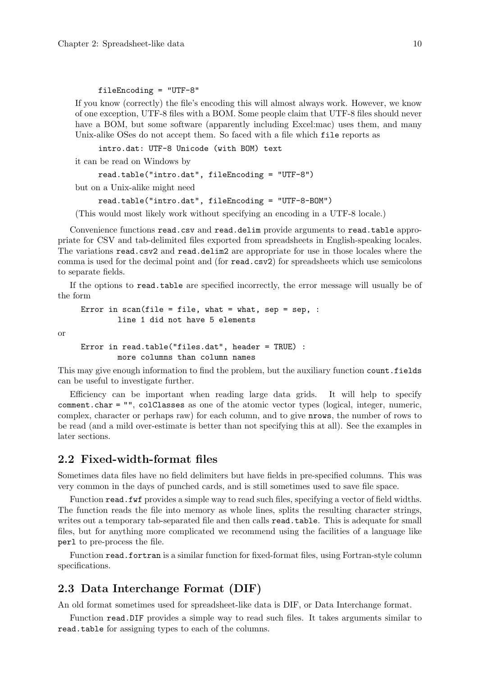#### fileEncoding = "UTF-8"

<span id="page-13-0"></span>If you know (correctly) the file's encoding this will almost always work. However, we know of one exception, UTF-8 files with a BOM. Some people claim that UTF-8 files should never have a BOM, but some software (apparently including Excel:mac) uses them, and many Unix-alike OSes do not accept them. So faced with a file which file reports as

intro.dat: UTF-8 Unicode (with BOM) text

it can be read on Windows by

read.table("intro.dat", fileEncoding = "UTF-8")

but on a Unix-alike might need

```
read.table("intro.dat", fileEncoding = "UTF-8-BOM")
```
(This would most likely work without specifying an encoding in a UTF-8 locale.)

Convenience functions read.csv and read.delim provide arguments to read.table appropriate for CSV and tab-delimited files exported from spreadsheets in English-speaking locales. The variations read.csv2 and read.delim2 are appropriate for use in those locales where the comma is used for the decimal point and (for read.csv2) for spreadsheets which use semicolons to separate fields.

If the options to read.table are specified incorrectly, the error message will usually be of the form

```
Error in scan(file = file, what = what, sep = sep, :line 1 did not have 5 elements
```
or

```
Error in read.table("files.dat", header = TRUE) :
       more columns than column names
```
This may give enough information to find the problem, but the auxiliary function count.fields can be useful to investigate further.

Efficiency can be important when reading large data grids. It will help to specify comment.char = "", colClasses as one of the atomic vector types (logical, integer, numeric, complex, character or perhaps raw) for each column, and to give nrows, the number of rows to be read (and a mild over-estimate is better than not specifying this at all). See the examples in later sections.

### 2.2 Fixed-width-format files

Sometimes data files have no field delimiters but have fields in pre-specified columns. This was very common in the days of punched cards, and is still sometimes used to save file space.

Function read. furthermodes a simple way to read such files, specifying a vector of field widths. The function reads the file into memory as whole lines, splits the resulting character strings, writes out a temporary tab-separated file and then calls read.table. This is adequate for small files, but for anything more complicated we recommend using the facilities of a language like perl to pre-process the file.

Function read.fortran is a similar function for fixed-format files, using Fortran-style column specifications.

### 2.3 Data Interchange Format (DIF)

An old format sometimes used for spreadsheet-like data is DIF, or Data Interchange format.

Function read.DIF provides a simple way to read such files. It takes arguments similar to read.table for assigning types to each of the columns.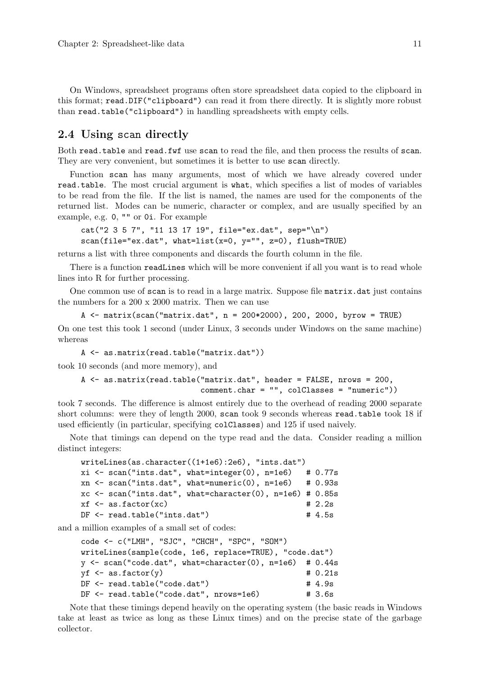<span id="page-14-0"></span>On Windows, spreadsheet programs often store spreadsheet data copied to the clipboard in this format; read.DIF("clipboard") can read it from there directly. It is slightly more robust than read.table("clipboard") in handling spreadsheets with empty cells.

### 2.4 Using scan directly

Both read.table and read.fwf use scan to read the file, and then process the results of scan. They are very convenient, but sometimes it is better to use scan directly.

Function scan has many arguments, most of which we have already covered under read.table. The most crucial argument is what, which specifies a list of modes of variables to be read from the file. If the list is named, the names are used for the components of the returned list. Modes can be numeric, character or complex, and are usually specified by an example, e.g. 0, "" or 0i. For example

```
cat("2 3 5 7", "11 13 17 19", file="ex.dat", sep="\n")
scan(file="ex.dat", what=list(x=0, y="", z=0), flush=TRUE)
```
returns a list with three components and discards the fourth column in the file.

There is a function readLines which will be more convenient if all you want is to read whole lines into R for further processing.

One common use of scan is to read in a large matrix. Suppose file matrix.dat just contains the numbers for a 200 x 2000 matrix. Then we can use

```
A \leftarrow matrix(scan("matrix.dat", n = 200*2000), 200, 2000, byrow = TRUE)
```
On one test this took 1 second (under Linux, 3 seconds under Windows on the same machine) whereas

```
A <- as.matrix(read.table("matrix.dat"))
```
took 10 seconds (and more memory), and

```
A \leftarrow as.matrix(read.table("matrix.dat", header = FALSE, nrows = 200,
                            comment.char = "", colClasses = "numeric"))
```
took 7 seconds. The difference is almost entirely due to the overhead of reading 2000 separate short columns: were they of length 2000, scan took 9 seconds whereas read.table took 18 if used efficiently (in particular, specifying colClasses) and 125 if used naively.

Note that timings can depend on the type read and the data. Consider reading a million distinct integers:

```
writeLines(as.character((1+1e6):2e6), "ints.dat")
xi \leftarrow scan("ints.dat", what = integer(0), n = 1e6) # 0.77sxn \leftarrow scan("ints.dat", what = numeric(0), n=1e6) # 0.93sxc <- scan("ints.dat", what=character(0), n=1e6) # 0.85s
xf \leftarrow as.factor(xc) # 2.2s
DF \le read.table("ints.dat") \qquad # 4.5s
```
and a million examples of a small set of codes:

```
code <- c("LMH", "SJC", "CHCH", "SPC", "SOM")
writeLines(sample(code, 1e6, replace=TRUE), "code.dat")
y \leq -\text{scan}("code.dat", what=character(0), n=1e6) # 0.44syf \leftarrow as.factor(y) # 0.21s
DF < - read.table("code.dat") \# 4.9sDF \le read.table("code.dat", nrows=1e6) \qquad # 3.6s
```
Note that these timings depend heavily on the operating system (the basic reads in Windows take at least as twice as long as these Linux times) and on the precise state of the garbage collector.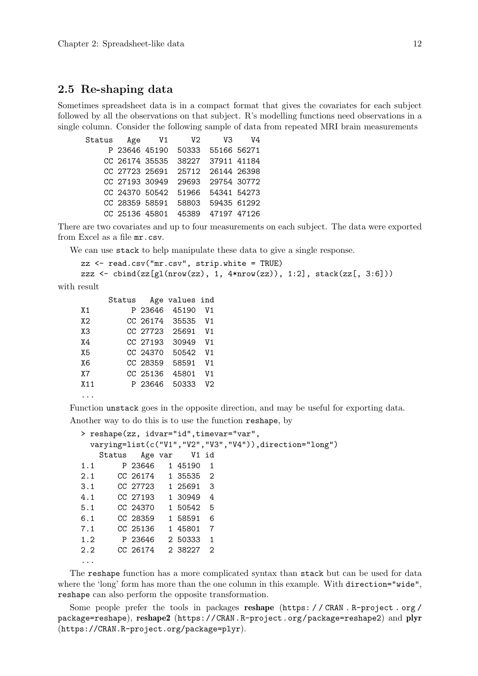### <span id="page-15-0"></span>2.5 Re-shaping data

Sometimes spreadsheet data is in a compact format that gives the covariates for each subject followed by all the observations on that subject. R's modelling functions need observations in a single column. Consider the following sample of data from repeated MRI brain measurements

| Status | Age            | V1 | V2    | VЗ          | V4          |
|--------|----------------|----|-------|-------------|-------------|
|        | P 23646 45190  |    | 50333 | 55166 56271 |             |
|        | CC 26174 35535 |    | 38227 | 37911 41184 |             |
|        | CC 27723 25691 |    | 25712 | 26144 26398 |             |
|        | CC 27193 30949 |    | 29693 |             | 29754 30772 |
|        | CC 24370 50542 |    | 51966 |             | 54341 54273 |
|        | CC 28359 58591 |    | 58803 |             | 59435 61292 |
|        | CC 25136 45801 |    | 45389 |             | 47197 47126 |
|        |                |    |       |             |             |

There are two covariates and up to four measurements on each subject. The data were exported from Excel as a file mr.csv.

We can use stack to help manipulate these data to give a single response.

```
zz <- read.csv("mr.csv", strip.white = TRUE)
zzz \le cbind(zz[gl(nrow(zz), 1, 4*nrow(zz)), 1:2], stack(zz[, 3:6]))
```
with result

|  | 45190                                                                                      | V1                             |
|--|--------------------------------------------------------------------------------------------|--------------------------------|
|  |                                                                                            | V1                             |
|  | 25691                                                                                      | V1                             |
|  | 30949                                                                                      | V1                             |
|  | 50542                                                                                      | V <sub>1</sub>                 |
|  | 58591                                                                                      | V <sub>1</sub>                 |
|  | 45801                                                                                      | V1                             |
|  | 50333                                                                                      | V2                             |
|  | P 23646<br>CC 26174<br>CC 27723<br>CC 27193<br>CC 24370<br>CC 28359<br>CC 25136<br>P 23646 | Status Age values ind<br>35535 |

```
...
```
...

Function unstack goes in the opposite direction, and may be useful for exporting data. Another way to do this is to use the function reshape, by

```
> reshape(zz, idvar="id",timevar="var",
 varying=list(c("V1","V2","V3","V4")),direction="long")
   Status Age var V1 id
1.1 P 23646 1 45190 1
2.1 CC 26174 1 35535 2
3.1 CC 27723 1 25691 3
4.1 CC 27193 1 30949 4
5.1 CC 24370 1 50542 5
6.1 CC 28359 1 58591 6
7.1 CC 25136 1 45801 7
1.2 P 23646 2 50333 1
2.2 CC 26174 2 38227 2
```
The reshape function has a more complicated syntax than stack but can be used for data where the 'long' form has more than the one column in this example. With direction="wide", reshape can also perform the opposite transformation.

Some people prefer the tools in packages reshape ([https: / / CRAN . R-project . org /](https://CRAN.R-project.org/package=reshape) [package=reshape](https://CRAN.R-project.org/package=reshape)), reshape2 (<https://CRAN.R-project.org/package=reshape2>) and [plyr](https://CRAN.R-project.org/package=plyr) (<https://CRAN.R-project.org/package=plyr>).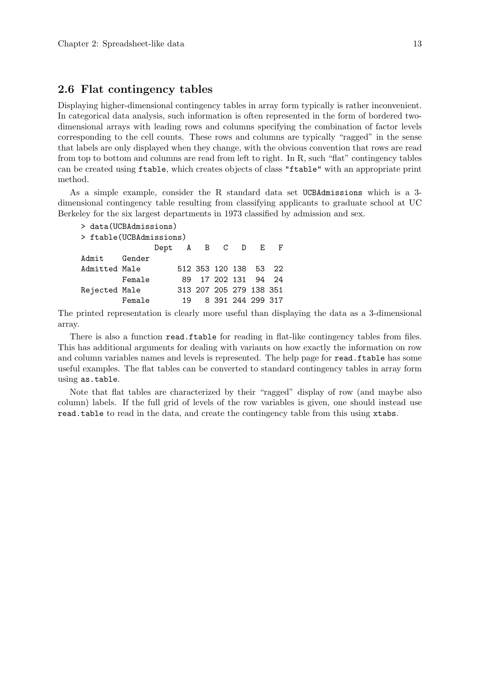#### <span id="page-16-0"></span>2.6 Flat contingency tables

Displaying higher-dimensional contingency tables in array form typically is rather inconvenient. In categorical data analysis, such information is often represented in the form of bordered twodimensional arrays with leading rows and columns specifying the combination of factor levels corresponding to the cell counts. These rows and columns are typically "ragged" in the sense that labels are only displayed when they change, with the obvious convention that rows are read from top to bottom and columns are read from left to right. In R, such "flat" contingency tables can be created using ftable, which creates objects of class "ftable" with an appropriate print method.

As a simple example, consider the R standard data set UCBAdmissions which is a 3 dimensional contingency table resulting from classifying applicants to graduate school at UC Berkeley for the six largest departments in 1973 classified by admission and sex.

| > data(UCBAdmissions)   |        |                  |  |  |                         |  |
|-------------------------|--------|------------------|--|--|-------------------------|--|
| > ftable(UCBAdmissions) |        |                  |  |  |                         |  |
|                         |        | Dept A B C D E F |  |  |                         |  |
| Admit Gender            |        |                  |  |  |                         |  |
| Admitted Male           |        |                  |  |  | 512 353 120 138 53 22   |  |
|                         | Female |                  |  |  | 89 17 202 131 94 24     |  |
| Rejected Male           |        |                  |  |  | 313 207 205 279 138 351 |  |
|                         | Female |                  |  |  | 19 8 391 244 299 317    |  |

The printed representation is clearly more useful than displaying the data as a 3-dimensional array.

There is also a function **read.ftable** for reading in flat-like contingency tables from files. This has additional arguments for dealing with variants on how exactly the information on row and column variables names and levels is represented. The help page for read.ftable has some useful examples. The flat tables can be converted to standard contingency tables in array form using as.table.

Note that flat tables are characterized by their "ragged" display of row (and maybe also column) labels. If the full grid of levels of the row variables is given, one should instead use read.table to read in the data, and create the contingency table from this using xtabs.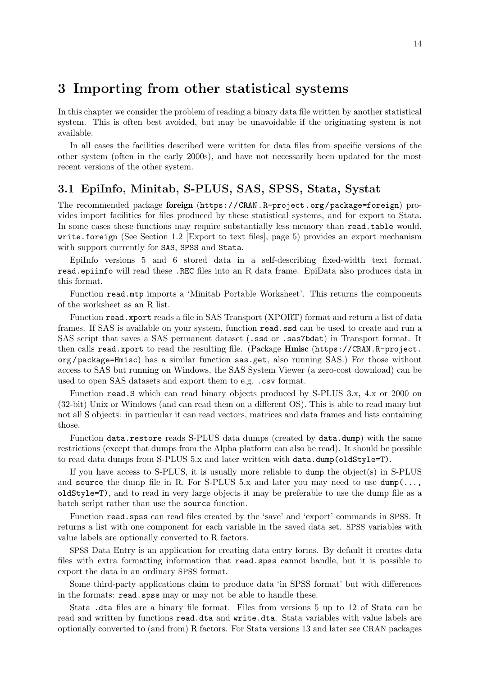### <span id="page-17-0"></span>3 Importing from other statistical systems

In this chapter we consider the problem of reading a binary data file written by another statistical system. This is often best avoided, but may be unavoidable if the originating system is not available.

In all cases the facilities described were written for data files from specific versions of the other system (often in the early 2000s), and have not necessarily been updated for the most recent versions of the other system.

### 3.1 EpiInfo, Minitab, S-PLUS, SAS, SPSS, Stata, Systat

The recommended package foreign (<https://CRAN.R-project.org/package=foreign>) provides import facilities for files produced by these statistical systems, and for export to Stata. In some cases these functions may require substantially less memory than read.table would. write.foreign (See [Section 1.2 \[Export to text files\], page 5\)](#page-8-1) provides an export mechanism with support currently for SAS, SPSS and Stata.

EpiInfo versions 5 and 6 stored data in a self-describing fixed-width text format. read.epiinfo will read these .REC files into an R data frame. EpiData also produces data in this format.

Function read.mtp imports a 'Minitab Portable Worksheet'. This returns the components of the worksheet as an R list.

Function read.xport reads a file in SAS Transport (XPORT) format and return a list of data frames. If SAS is available on your system, function read.ssd can be used to create and run a SAS script that saves a SAS permanent dataset (.ssd or .sas7bdat) in Transport format. It then calls read.xport to read the resulting file. (Package Hmisc ([https://CRAN.R-project.](https://CRAN.R-project.org/package=Hmisc) [org/package=Hmisc](https://CRAN.R-project.org/package=Hmisc)) has a similar function sas.get, also running SAS.) For those without access to SAS but running on Windows, the SAS System Viewer (a zero-cost download) can be used to open SAS datasets and export them to e.g. .csv format.

Function read.S which can read binary objects produced by S-PLUS 3.x, 4.x or 2000 on (32-bit) Unix or Windows (and can read them on a different OS). This is able to read many but not all S objects: in particular it can read vectors, matrices and data frames and lists containing those.

Function data.restore reads S-PLUS data dumps (created by data.dump) with the same restrictions (except that dumps from the Alpha platform can also be read). It should be possible to read data dumps from S-PLUS 5.x and later written with data.dump(oldStyle=T).

If you have access to S-PLUS, it is usually more reliable to dump the object(s) in S-PLUS and source the dump file in R. For S-PLUS 5.x and later you may need to use  $\text{dump}(\ldots,$ oldStyle=T), and to read in very large objects it may be preferable to use the dump file as a batch script rather than use the source function.

Function read.spss can read files created by the 'save' and 'export' commands in SPSS. It returns a list with one component for each variable in the saved data set. SPSS variables with value labels are optionally converted to R factors.

SPSS Data Entry is an application for creating data entry forms. By default it creates data files with extra formatting information that read.spss cannot handle, but it is possible to export the data in an ordinary SPSS format.

Some third-party applications claim to produce data 'in SPSS format' but with differences in the formats: read.spss may or may not be able to handle these.

Stata .dta files are a binary file format. Files from versions 5 up to 12 of Stata can be read and written by functions read.dta and write.dta. Stata variables with value labels are optionally converted to (and from) R factors. For Stata versions 13 and later see CRAN packages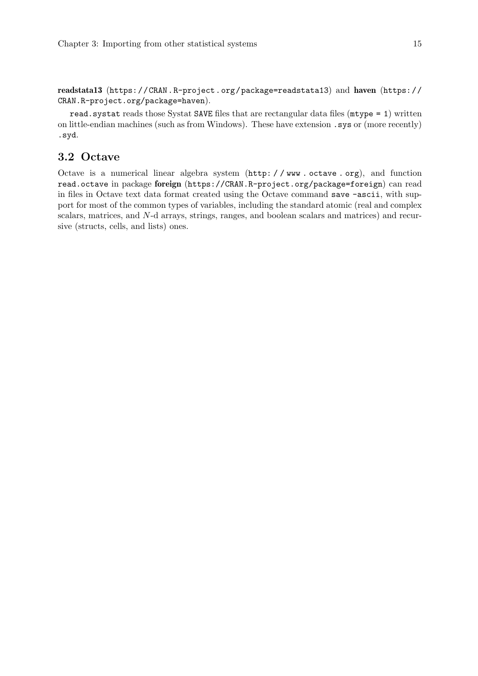<span id="page-18-0"></span>readstata13 (<https://CRAN.R-project.org/package=readstata13>) and haven ([https://](https://CRAN.R-project.org/package=haven) [CRAN.R-project.org/package=haven](https://CRAN.R-project.org/package=haven)).

read.systat reads those Systat SAVE files that are rectangular data files (mtype = 1) written on little-endian machines (such as from Windows). These have extension .sys or (more recently) .syd.

### 3.2 Octave

Octave is a numerical linear algebra system ([http: / / www . octave . org](http://www.octave.org)), and function read.octave in package foreign (<https://CRAN.R-project.org/package=foreign>) can read in files in Octave text data format created using the Octave command save -ascii, with support for most of the common types of variables, including the standard atomic (real and complex scalars, matrices, and N-d arrays, strings, ranges, and boolean scalars and matrices) and recursive (structs, cells, and lists) ones.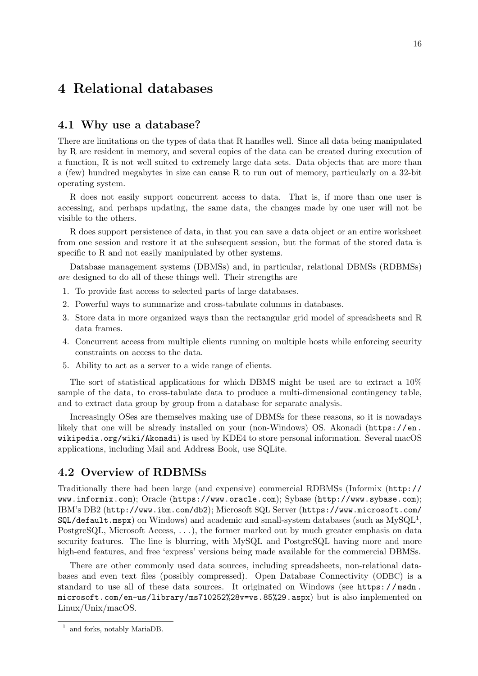### <span id="page-19-0"></span>4 Relational databases

### 4.1 Why use a database?

There are limitations on the types of data that R handles well. Since all data being manipulated by R are resident in memory, and several copies of the data can be created during execution of a function, R is not well suited to extremely large data sets. Data objects that are more than a (few) hundred megabytes in size can cause R to run out of memory, particularly on a 32-bit operating system.

R does not easily support concurrent access to data. That is, if more than one user is accessing, and perhaps updating, the same data, the changes made by one user will not be visible to the others.

R does support persistence of data, in that you can save a data object or an entire worksheet from one session and restore it at the subsequent session, but the format of the stored data is specific to R and not easily manipulated by other systems.

Database management systems (DBMSs) and, in particular, relational DBMSs (RDBMSs) are designed to do all of these things well. Their strengths are

- 1. To provide fast access to selected parts of large databases.
- 2. Powerful ways to summarize and cross-tabulate columns in databases.
- 3. Store data in more organized ways than the rectangular grid model of spreadsheets and R data frames.
- 4. Concurrent access from multiple clients running on multiple hosts while enforcing security constraints on access to the data.
- 5. Ability to act as a server to a wide range of clients.

The sort of statistical applications for which DBMS might be used are to extract a 10% sample of the data, to cross-tabulate data to produce a multi-dimensional contingency table, and to extract data group by group from a database for separate analysis.

Increasingly OSes are themselves making use of DBMSs for these reasons, so it is nowadays likely that one will be already installed on your (non-Windows) OS. Akonadi ([https://en.](https://en.wikipedia.org/wiki/Akonadi) [wikipedia.org/wiki/Akonadi](https://en.wikipedia.org/wiki/Akonadi)) is used by KDE4 to store personal information. Several macOS applications, including Mail and Address Book, use SQLite.

### 4.2 Overview of RDBMSs

Traditionally there had been large (and expensive) commercial RDBMSs ([Informix \(](http://www.informix.com)http:// [www.informix.com](http://www.informix.com)); Oracle (<https://www.oracle.com>); Sybase (<http://www.sybase.com>); IBM's DB2 (<http://www.ibm.com/db2>); Microsoft SQL Server ([https://www.microsoft.com/](https://www.microsoft.com/SQL/default.mspx)  $\texttt{SQL/default.mspx)}$  $\texttt{SQL/default.mspx)}$  $\texttt{SQL/default.mspx)}$  on Windows) and academic and small-system databases (such as  $\text{MySQL}^1,$ PostgreSQL, Microsoft Access, ...), the former marked out by much greater emphasis on data security features. The line is blurring, with MySQL and PostgreSQL having more and more high-end features, and free 'express' versions being made available for the commercial DBMSs.

There are other commonly used data sources, including spreadsheets, non-relational databases and even text files (possibly compressed). Open Database Connectivity (ODBC) is a standard to use all of these data sources. It originated on Windows (see [https: / / msdn .](https://msdn.microsoft.com/en-us/library/ms710252%28v=vs.85%29.aspx) [microsoft.com/en-us/library/ms710252%28v=vs.85%29.aspx](https://msdn.microsoft.com/en-us/library/ms710252%28v=vs.85%29.aspx)) but is also implemented on Linux/Unix/macOS.

<sup>1</sup> and forks, notably MariaDB.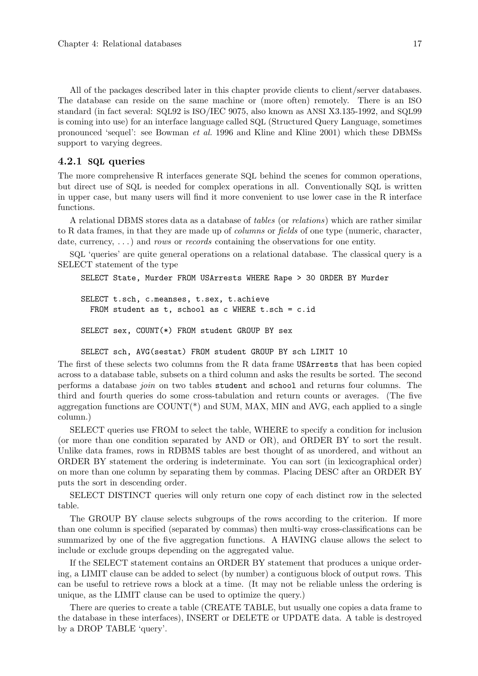<span id="page-20-0"></span>All of the packages described later in this chapter provide clients to client/server databases. The database can reside on the same machine or (more often) remotely. There is an ISO standard (in fact several: SQL92 is ISO/IEC 9075, also known as ANSI X3.135-1992, and SQL99 is coming into use) for an interface language called SQL (Structured Query Language, sometimes pronounced 'sequel': see Bowman et al. 1996 and Kline and Kline 2001) which these DBMSs support to varying degrees.

#### 4.2.1 SQL queries

The more comprehensive R interfaces generate SQL behind the scenes for common operations, but direct use of SQL is needed for complex operations in all. Conventionally SQL is written in upper case, but many users will find it more convenient to use lower case in the R interface functions.

A relational DBMS stores data as a database of tables (or relations) which are rather similar to R data frames, in that they are made up of columns or fields of one type (numeric, character, date, currency,  $\ldots$ ) and rows or records containing the observations for one entity.

SQL 'queries' are quite general operations on a relational database. The classical query is a SELECT statement of the type

SELECT State, Murder FROM USArrests WHERE Rape > 30 ORDER BY Murder

SELECT t.sch, c.meanses, t.sex, t.achieve FROM student as t, school as c WHERE t.sch = c.id SELECT sex, COUNT(\*) FROM student GROUP BY sex

SELECT sch, AVG(sestat) FROM student GROUP BY sch LIMIT 10

The first of these selects two columns from the R data frame USArrests that has been copied across to a database table, subsets on a third column and asks the results be sorted. The second performs a database join on two tables student and school and returns four columns. The third and fourth queries do some cross-tabulation and return counts or averages. (The five aggregation functions are COUNT( $*$ ) and SUM, MAX, MIN and AVG, each applied to a single column.)

SELECT queries use FROM to select the table, WHERE to specify a condition for inclusion (or more than one condition separated by AND or OR), and ORDER BY to sort the result. Unlike data frames, rows in RDBMS tables are best thought of as unordered, and without an ORDER BY statement the ordering is indeterminate. You can sort (in lexicographical order) on more than one column by separating them by commas. Placing DESC after an ORDER BY puts the sort in descending order.

SELECT DISTINCT queries will only return one copy of each distinct row in the selected table.

The GROUP BY clause selects subgroups of the rows according to the criterion. If more than one column is specified (separated by commas) then multi-way cross-classifications can be summarized by one of the five aggregation functions. A HAVING clause allows the select to include or exclude groups depending on the aggregated value.

If the SELECT statement contains an ORDER BY statement that produces a unique ordering, a LIMIT clause can be added to select (by number) a contiguous block of output rows. This can be useful to retrieve rows a block at a time. (It may not be reliable unless the ordering is unique, as the LIMIT clause can be used to optimize the query.)

There are queries to create a table (CREATE TABLE, but usually one copies a data frame to the database in these interfaces), INSERT or DELETE or UPDATE data. A table is destroyed by a DROP TABLE 'query'.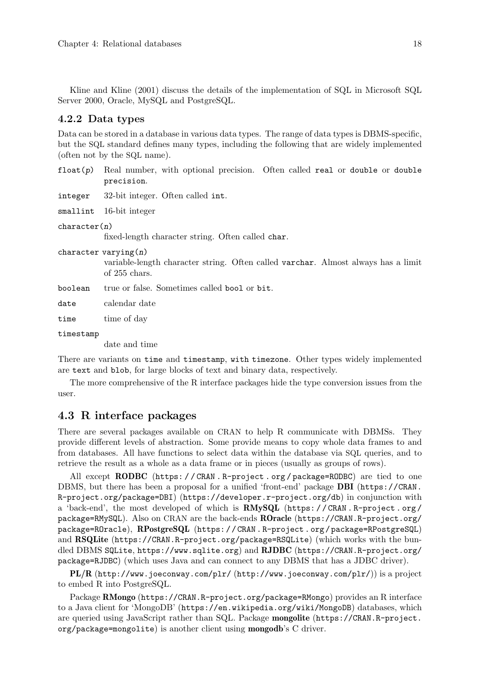<span id="page-21-0"></span>Kline and Kline (2001) discuss the details of the implementation of SQL in Microsoft SQL Server 2000, Oracle, MySQL and PostgreSQL.

#### 4.2.2 Data types

Data can be stored in a database in various data types. The range of data types is DBMS-specific, but the SQL standard defines many types, including the following that are widely implemented (often not by the SQL name).

float(p) Real number, with optional precision. Often called real or double or double precision.

integer 32-bit integer. Often called int.

smallint 16-bit integer

character(n)

fixed-length character string. Often called char.

character varying $(n)$ 

variable-length character string. Often called varchar. Almost always has a limit of 255 chars.

boolean true or false. Sometimes called bool or bit.

| date | calendar date |  |
|------|---------------|--|
|      |               |  |

time time of day

timestamp

date and time

There are variants on time and timestamp, with timezone. Other types widely implemented are text and blob, for large blocks of text and binary data, respectively.

The more comprehensive of the R interface packages hide the type conversion issues from the user.

### 4.3 R interface packages

There are several packages available on CRAN to help R communicate with DBMSs. They provide different levels of abstraction. Some provide means to copy whole data frames to and from databases. All have functions to select data within the database via SQL queries, and to retrieve the result as a whole as a data frame or in pieces (usually as groups of rows).

All except RODBC ([https: / / CRAN . R-project . org / package=RODBC](https://CRAN.R-project.org/package=RODBC)) are tied to one DBMS, but there has been a proposal for a unified 'front-end' package DBI ([https://CRAN.](https://CRAN.R-project.org/package=DBI) [R-project.org/package=DBI](https://CRAN.R-project.org/package=DBI)) (<https://developer.r-project.org/db>) in conjunction with a 'back-end', the most developed of which is RMySQL ([https: / / CRAN . R-project . org /](https://CRAN.R-project.org/package=RMySQL) [package=RMySQL](https://CRAN.R-project.org/package=RMySQL)). Also on CRAN are the back-ends ROracle ([https://CRAN.R-project.org/](https://CRAN.R-project.org/package=ROracle) [package=ROracle](https://CRAN.R-project.org/package=ROracle)), RPostgreSQL ([https: / / CRAN . R-project . org / package=RPostgreSQL](https://CRAN.R-project.org/package=RPostgreSQL)) and RSQLite (<https://CRAN.R-project.org/package=RSQLite>) (which works with the bundled DBMS SQLite, <https://www.sqlite.org>) and RJDBC ([https://CRAN.R-project.org/](https://CRAN.R-project.org/package=RJDBC) [package=RJDBC](https://CRAN.R-project.org/package=RJDBC)) (which uses Java and can connect to any DBMS that has a JDBC driver).

PL/R (http://www.joeconway.com/plr/ (<http://www.joeconway.com/plr/>)) is a project to embed R into PostgreSQL.

Package RMongo (<https://CRAN.R-project.org/package=RMongo>) provides an R interface to a Java client for 'MongoDB' (<https://en.wikipedia.org/wiki/MongoDB>) databases, which are queried using JavaScript rather than SQL. Package mongolite ([https://CRAN.R-project.](https://CRAN.R-project.org/package=mongolite) [org/package=mongolite](https://CRAN.R-project.org/package=mongolite)) is another client using mongodb's C driver.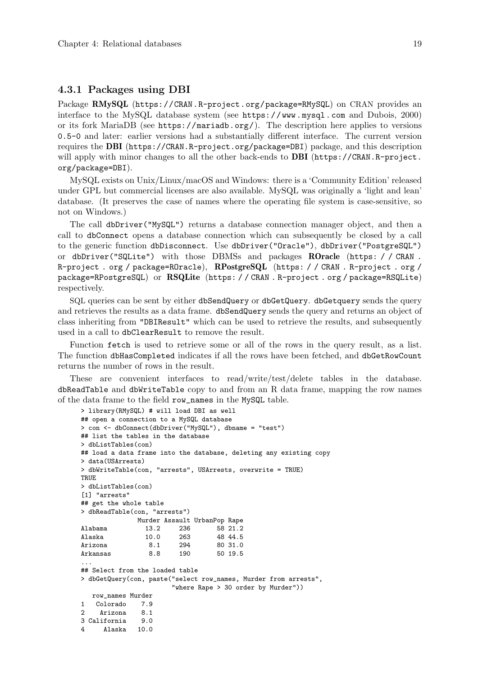#### <span id="page-22-0"></span>4.3.1 Packages using DBI

Package RMySQL (<https://CRAN.R-project.org/package=RMySQL>) on CRAN provides an interface to the MySQL database system (see <https://www.mysql.com> and Dubois, 2000) or its fork MariaDB (see <https://mariadb.org/>). The description here applies to versions 0.5-0 and later: earlier versions had a substantially different interface. The current version requires the DBI (<https://CRAN.R-project.org/package=DBI>) package, and this description will apply with minor changes to all the other back-ends to **DBI** ([https://CRAN.R-project.](https://CRAN.R-project.org/package=DBI) [org/package=DBI](https://CRAN.R-project.org/package=DBI)).

MySQL exists on Unix/Linux/macOS and Windows: there is a 'Community Edition' released under GPL but commercial licenses are also available. MySQL was originally a 'light and lean' database. (It preserves the case of names where the operating file system is case-sensitive, so not on Windows.)

The call dbDriver("MySQL") returns a database connection manager object, and then a call to dbConnect opens a database connection which can subsequently be closed by a call to the generic function dbDisconnect. Use dbDriver("Oracle"), dbDriver("PostgreSQL") or dbDriver("SQLite") with those DBMSs and packages ROracle ([https: / / CRAN .](https://CRAN.R-project.org/package=ROracle) [R-project . org / package=ROracle](https://CRAN.R-project.org/package=ROracle)), RPostgreSQL ([https: / / CRAN . R-project . org /](https://CRAN.R-project.org/package=RPostgreSQL) [package=RPostgreSQL](https://CRAN.R-project.org/package=RPostgreSQL)) or RSQLite ([https: / / CRAN . R-project . org / package=RSQLite](https://CRAN.R-project.org/package=RSQLite)) respectively.

SQL queries can be sent by either dbSendQuery or dbGetQuery. dbGetquery sends the query and retrieves the results as a data frame. dbSendQuery sends the query and returns an object of class inheriting from "DBIResult" which can be used to retrieve the results, and subsequently used in a call to dbClearResult to remove the result.

Function fetch is used to retrieve some or all of the rows in the query result, as a list. The function dbHasCompleted indicates if all the rows have been fetched, and dbGetRowCount returns the number of rows in the result.

These are convenient interfaces to read/write/test/delete tables in the database. dbReadTable and dbWriteTable copy to and from an R data frame, mapping the row names of the data frame to the field row\_names in the MySQL table.

```
> library(RMySQL) # will load DBI as well
## open a connection to a MySQL database
> con <- dbConnect(dbDriver("MySQL"), dbname = "test")
## list the tables in the database
> dbListTables(con)
## load a data frame into the database, deleting any existing copy
> data(USArrests)
> dbWriteTable(con, "arrests", USArrests, overwrite = TRUE)
TRUE
> dbListTables(con)
[1] "arrests"
## get the whole table
> dbReadTable(con, "arrests")
             Murder Assault UrbanPop Rape
Alabama 13.2 236 58 21.2
Alaska 10.0 263 48 44.5
Arizona 8.1 294 80 31.0
Arkansas 8.8 190 50 19.5
...
## Select from the loaded table
> dbGetQuery(con, paste("select row_names, Murder from arrests",
                      "where Rape > 30 order by Murder"))
  row_names Murder
1 Colorado 7.9
2 Arizona 8.1<br>3 California 9.0
3 California
4 Alaska 10.0
```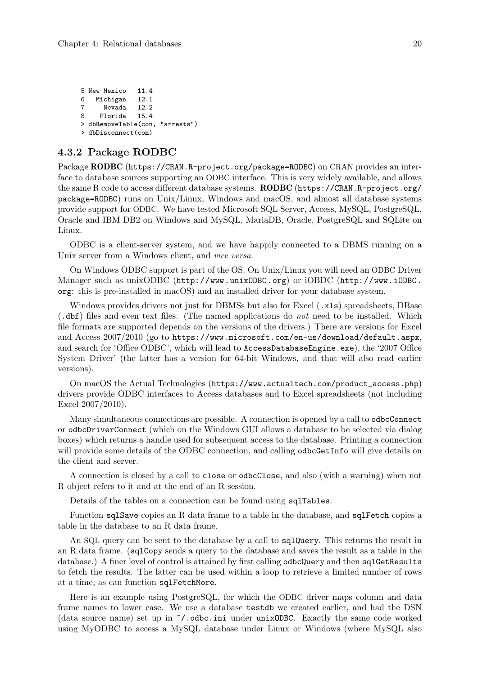<span id="page-23-0"></span>5 New Mexico 11.4 6 Michigan 12.1 7 Nevada 12.2 8 Florida 15.4 > dbRemoveTable(con, "arrests") > dbDisconnect(con)

### <span id="page-23-1"></span>4.3.2 Package RODBC

Package RODBC (<https://CRAN.R-project.org/package=RODBC>) on CRAN provides an interface to database sources supporting an ODBC interface. This is very widely available, and allows the same R code to access different database systems. RODBC ([https://CRAN.R-project.org/](https://CRAN.R-project.org/package=RODBC) [package=RODBC](https://CRAN.R-project.org/package=RODBC)) runs on Unix/Linux, Windows and macOS, and almost all database systems provide support for ODBC. We have tested Microsoft SQL Server, Access, MySQL, PostgreSQL, Oracle and IBM DB2 on Windows and MySQL, MariaDB, Oracle, PostgreSQL and SQLite on Linux.

ODBC is a client-server system, and we have happily connected to a DBMS running on a Unix server from a Windows client, and *vice versa*.

On Windows ODBC support is part of the OS. On Unix/Linux you will need an ODBC Driver Manager such as unixODBC (<http://www.unixODBC.org>) or iOBDC ([http://www.iODBC.](http://www.iODBC.org) [org](http://www.iODBC.org): this is pre-installed in macOS) and an installed driver for your database system.

Windows provides drivers not just for DBMSs but also for Excel (.xls) spreadsheets, DBase (.dbf) files and even text files. (The named applications do not need to be installed. Which file formats are supported depends on the versions of the drivers.) There are versions for Excel and Access 2007/2010 (go to <https://www.microsoft.com/en-us/download/default.aspx>, and search for 'Office ODBC', which will lead to AccessDatabaseEngine.exe), the '2007 Office System Driver' (the latter has a version for 64-bit Windows, and that will also read earlier versions).

On macOS the Actual Technologies ([https://www.actualtech.com/product\\_access.php](https://www.actualtech.com/product_access.php)) drivers provide ODBC interfaces to Access databases and to Excel spreadsheets (not including Excel 2007/2010).

Many simultaneous connections are possible. A connection is opened by a call to odbcConnect or odbcDriverConnect (which on the Windows GUI allows a database to be selected via dialog boxes) which returns a handle used for subsequent access to the database. Printing a connection will provide some details of the ODBC connection, and calling odbcGetInfo will give details on the client and server.

A connection is closed by a call to close or odbcClose, and also (with a warning) when not R object refers to it and at the end of an R session.

Details of the tables on a connection can be found using sqlTables.

Function sqlSave copies an R data frame to a table in the database, and sqlFetch copies a table in the database to an R data frame.

An SQL query can be sent to the database by a call to sqlQuery. This returns the result in an R data frame. (sqlCopy sends a query to the database and saves the result as a table in the database.) A finer level of control is attained by first calling odbcQuery and then sqlGetResults to fetch the results. The latter can be used within a loop to retrieve a limited number of rows at a time, as can function sqlFetchMore.

Here is an example using PostgreSQL, for which the ODBC driver maps column and data frame names to lower case. We use a database testdb we created earlier, and had the DSN (data source name) set up in ~/.odbc.ini under unixODBC. Exactly the same code worked using MyODBC to access a MySQL database under Linux or Windows (where MySQL also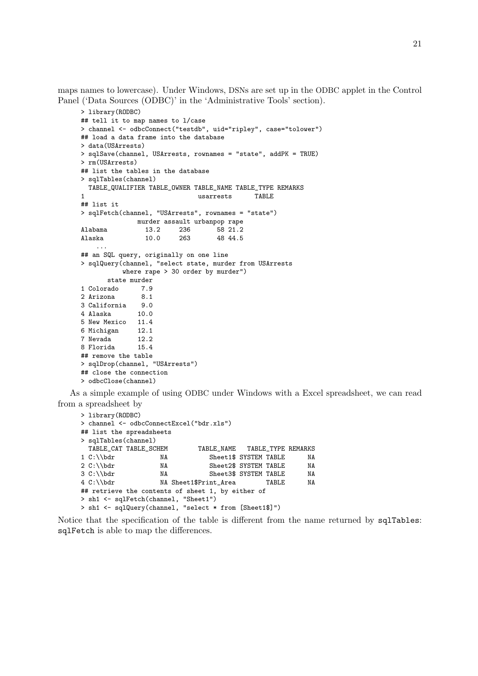<span id="page-24-0"></span>maps names to lowercase). Under Windows, DSNs are set up in the ODBC applet in the Control Panel ('Data Sources (ODBC)' in the 'Administrative Tools' section).

```
> library(RODBC)
## tell it to map names to l/case
> channel <- odbcConnect("testdb", uid="ripley", case="tolower")
## load a data frame into the database
> data(USArrests)
> sqlSave(channel, USArrests, rownames = "state", addPK = TRUE)
> rm(USArrests)
## list the tables in the database
> sqlTables(channel)
 TABLE_QUALIFIER TABLE_OWNER TABLE_NAME TABLE_TYPE REMARKS
1 usarrests TABLE
## list it
> sqlFetch(channel, "USArrests", rownames = "state")
            murder assault urbanpop rape
Alabama 13.2 236 58 21.2
Alaska 10.0 263 48 44.5
    ...
## an SQL query, originally on one line
> sqlQuery(channel, "select state, murder from USArrests
         where rape > 30 order by murder")
      state murder
1 Colorado 7.9
2 Arizona 8.1
3 California 9.0
4 Alaska 10.0
5 New Mexico 11.4
6 Michigan 12.1
7 Nevada 12.2
8 Florida
## remove the table
> sqlDrop(channel, "USArrests")
## close the connection
> odbcClose(channel)
```
As a simple example of using ODBC under Windows with a Excel spreadsheet, we can read from a spreadsheet by

```
> library(RODBC)
> channel <- odbcConnectExcel("bdr.xls")
## list the spreadsheets
> sqlTables(channel)
                         TABLE_NAME TABLE_TYPE_REMARKS
1 C:\\bdr NA Sheet1$ SYSTEM TABLE NA
2 C:\\bdr NA Sheet2$ SYSTEM TABLE NA
                            Sheet3$ SYSTEM TABLE
4 C:\\bdr NA Sheet1$Print_Area TABLE NA
## retrieve the contents of sheet 1, by either of
> sh1 <- sqlFetch(channel, "Sheet1")
> sh1 <- sqlQuery(channel, "select * from [Sheet1$]")
```
Notice that the specification of the table is different from the name returned by sqlTables: sqlFetch is able to map the differences.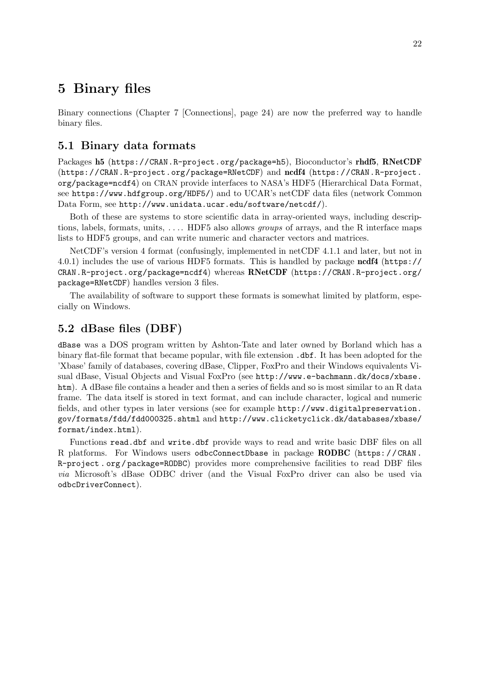### <span id="page-25-0"></span>5 Binary files

Binary connections [\(Chapter 7 \[Connections\], page 24\)](#page-27-0) are now the preferred way to handle binary files.

### 5.1 Binary data formats

Packages h5 (<https://CRAN.R-project.org/package=h5>), Bioconductor's rhdf5, [RNetCDF](https://CRAN.R-project.org/package=RNetCDF) (<https://CRAN.R-project.org/package=RNetCDF>) and ncdf4 ([https://CRAN.R-project.](https://CRAN.R-project.org/package=ncdf4) [org/package=ncdf4](https://CRAN.R-project.org/package=ncdf4)) on CRAN provide interfaces to NASA's HDF5 (Hierarchical Data Format, see <https://www.hdfgroup.org/HDF5/>) and to UCAR's netCDF data files (network Common Data Form, see <http://www.unidata.ucar.edu/software/netcdf/>).

Both of these are systems to store scientific data in array-oriented ways, including descriptions, labels, formats, units, .... HDF5 also allows *groups* of arrays, and the R interface maps lists to HDF5 groups, and can write numeric and character vectors and matrices.

NetCDF's version 4 format (confusingly, implemented in netCDF 4.1.1 and later, but not in 4.0.1) includes the use of various HDF5 formats. This is handled by package ncdf4 ([https://](https://CRAN.R-project.org/package=ncdf4) [CRAN.R-project.org/package=ncdf4](https://CRAN.R-project.org/package=ncdf4)) whereas RNetCDF ([https://CRAN.R-project.org/](https://CRAN.R-project.org/package=RNetCDF) [package=RNetCDF](https://CRAN.R-project.org/package=RNetCDF)) handles version 3 files.

The availability of software to support these formats is somewhat limited by platform, especially on Windows.

### 5.2 dBase files (DBF)

dBase was a DOS program written by Ashton-Tate and later owned by Borland which has a binary flat-file format that became popular, with file extension .dbf. It has been adopted for the 'Xbase' family of databases, covering dBase, Clipper, FoxPro and their Windows equivalents Visual dBase, Visual Objects and Visual FoxPro (see [http://www.e-bachmann.dk/docs/xbase.](http://www.e-bachmann.dk/docs/xbase.htm) [htm](http://www.e-bachmann.dk/docs/xbase.htm)). A dBase file contains a header and then a series of fields and so is most similar to an R data frame. The data itself is stored in text format, and can include character, logical and numeric fields, and other types in later versions (see for example [http://www.digitalpreservation.](http://www.digitalpreservation.gov/formats/fdd/fdd000325.shtml) [gov/formats/fdd/fdd000325.shtml](http://www.digitalpreservation.gov/formats/fdd/fdd000325.shtml) and [http://www.clicketyclick.dk/databases/xbase/](http://www.clicketyclick.dk/databases/xbase/format/index.html) [format/index.html](http://www.clicketyclick.dk/databases/xbase/format/index.html)).

Functions read.dbf and write.dbf provide ways to read and write basic DBF files on all R platforms. For Windows users odbcConnectDbase in package RODBC ([https: / / CRAN .](https://CRAN.R-project.org/package=RODBC) [R-project . org / package=RODBC](https://CRAN.R-project.org/package=RODBC)) provides more comprehensive facilities to read DBF files via Microsoft's dBase ODBC driver (and the Visual FoxPro driver can also be used via odbcDriverConnect).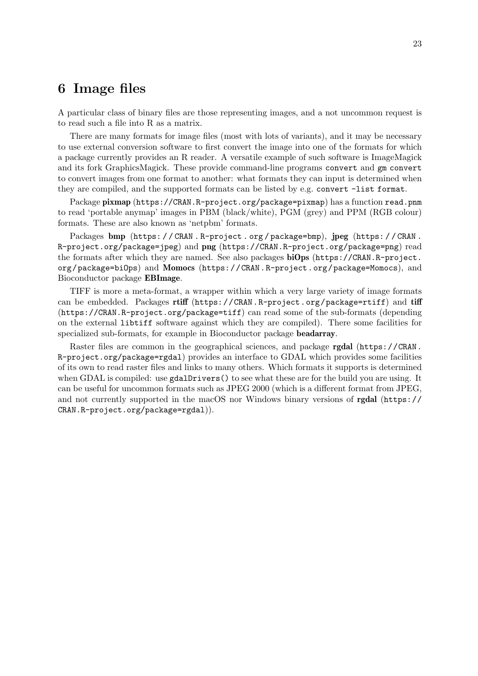### <span id="page-26-0"></span>6 Image files

A particular class of binary files are those representing images, and a not uncommon request is to read such a file into R as a matrix.

There are many formats for image files (most with lots of variants), and it may be necessary to use external conversion software to first convert the image into one of the formats for which a package currently provides an R reader. A versatile example of such software is ImageMagick and its fork GraphicsMagick. These provide command-line programs convert and gm convert to convert images from one format to another: what formats they can input is determined when they are compiled, and the supported formats can be listed by e.g. convert -list format.

Package pixmap (<https://CRAN.R-project.org/package=pixmap>) has a function read.pnm to read 'portable anymap' images in PBM (black/white), PGM (grey) and PPM (RGB colour) formats. These are also known as 'netpbm' formats.

Packages bmp (https://CRAN.R-project.org/package=bmp), jpeg (https://CRAN. [R-project.org/package=jpeg](https://CRAN.R-project.org/package=jpeg)) and png (<https://CRAN.R-project.org/package=png>) read the formats after which they are named. See also packages **biOps** ([https://CRAN.R-project.](https://CRAN.R-project.org/package=biOps) [org/package=biOps](https://CRAN.R-project.org/package=biOps)) and Momocs (<https://CRAN.R-project.org/package=Momocs>), and Bioconductor package EBImage.

TIFF is more a meta-format, a wrapper within which a very large variety of image formats can be embedded. Packages rtiff (<https://CRAN.R-project.org/package=rtiff>) and [tiff](https://CRAN.R-project.org/package=tiff) (<https://CRAN.R-project.org/package=tiff>) can read some of the sub-formats (depending on the external libtiff software against which they are compiled). There some facilities for specialized sub-formats, for example in Bioconductor package beadarray.

Raster files are common in the geographical sciences, and package rgdal ([https://CRAN.](https://CRAN.R-project.org/package=rgdal) [R-project.org/package=rgdal](https://CRAN.R-project.org/package=rgdal)) provides an interface to GDAL which provides some facilities of its own to read raster files and links to many others. Which formats it supports is determined when GDAL is compiled: use gdalDrivers () to see what these are for the build you are using. It can be useful for uncommon formats such as JPEG 2000 (which is a different format from JPEG, and not currently supported in the macOS nor Windows binary versions of rgdal ([https://](https://CRAN.R-project.org/package=rgdal) [CRAN.R-project.org/package=rgdal](https://CRAN.R-project.org/package=rgdal))).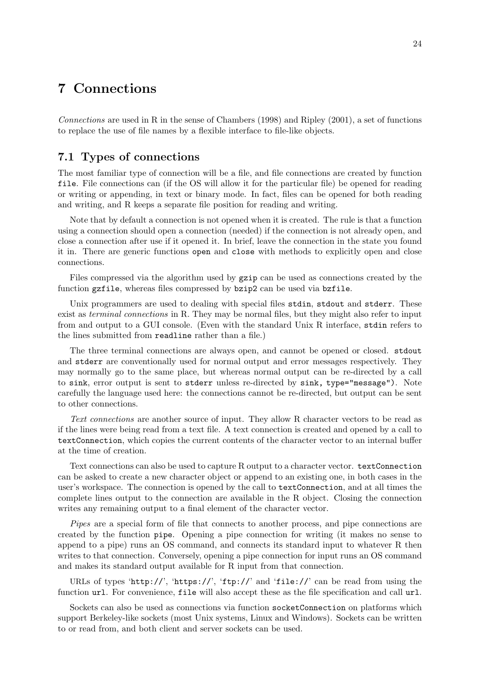### <span id="page-27-0"></span>7 Connections

Connections are used in R in the sense of Chambers  $(1998)$  and Ripley  $(2001)$ , a set of functions to replace the use of file names by a flexible interface to file-like objects.

### 7.1 Types of connections

The most familiar type of connection will be a file, and file connections are created by function file. File connections can (if the OS will allow it for the particular file) be opened for reading or writing or appending, in text or binary mode. In fact, files can be opened for both reading and writing, and R keeps a separate file position for reading and writing.

Note that by default a connection is not opened when it is created. The rule is that a function using a connection should open a connection (needed) if the connection is not already open, and close a connection after use if it opened it. In brief, leave the connection in the state you found it in. There are generic functions open and close with methods to explicitly open and close connections.

Files compressed via the algorithm used by gzip can be used as connections created by the function gzfile, whereas files compressed by bzip2 can be used via bzfile.

Unix programmers are used to dealing with special files stdin, stdout and stderr. These exist as terminal connections in R. They may be normal files, but they might also refer to input from and output to a GUI console. (Even with the standard Unix R interface, stdin refers to the lines submitted from readline rather than a file.)

The three terminal connections are always open, and cannot be opened or closed. stdout and stderr are conventionally used for normal output and error messages respectively. They may normally go to the same place, but whereas normal output can be re-directed by a call to sink, error output is sent to stderr unless re-directed by sink, type="message"). Note carefully the language used here: the connections cannot be re-directed, but output can be sent to other connections.

Text connections are another source of input. They allow R character vectors to be read as if the lines were being read from a text file. A text connection is created and opened by a call to textConnection, which copies the current contents of the character vector to an internal buffer at the time of creation.

Text connections can also be used to capture R output to a character vector. textConnection can be asked to create a new character object or append to an existing one, in both cases in the user's workspace. The connection is opened by the call to textConnection, and at all times the complete lines output to the connection are available in the R object. Closing the connection writes any remaining output to a final element of the character vector.

Pipes are a special form of file that connects to another process, and pipe connections are created by the function pipe. Opening a pipe connection for writing (it makes no sense to append to a pipe) runs an OS command, and connects its standard input to whatever R then writes to that connection. Conversely, opening a pipe connection for input runs an OS command and makes its standard output available for R input from that connection.

URLs of types 'http://', 'https://', 'ftp://' and 'file://' can be read from using the function url. For convenience, file will also accept these as the file specification and call url.

Sockets can also be used as connections via function socketConnection on platforms which support Berkeley-like sockets (most Unix systems, Linux and Windows). Sockets can be written to or read from, and both client and server sockets can be used.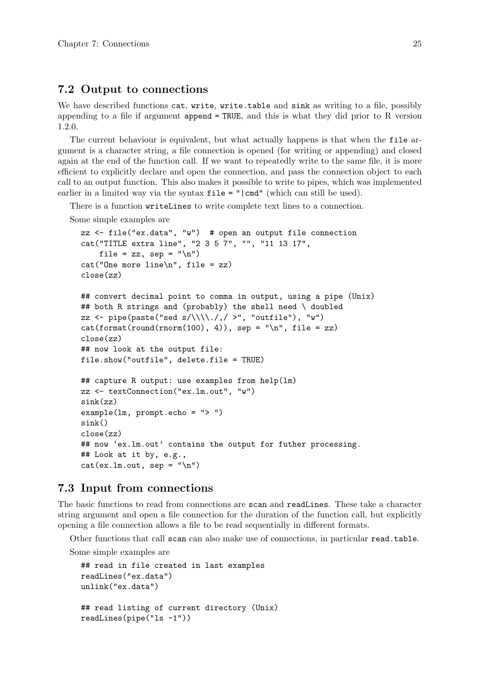### <span id="page-28-0"></span>7.2 Output to connections

We have described functions cat, write, write.table and sink as writing to a file, possibly appending to a file if argument append = TRUE, and this is what they did prior to R version 1.2.0.

The current behaviour is equivalent, but what actually happens is that when the file argument is a character string, a file connection is opened (for writing or appending) and closed again at the end of the function call. If we want to repeatedly write to the same file, it is more efficient to explicitly declare and open the connection, and pass the connection object to each call to an output function. This also makes it possible to write to pipes, which was implemented earlier in a limited way via the syntax  $file = "|cmd"$  (which can still be used).

There is a function writeLines to write complete text lines to a connection.

Some simple examples are

```
zz <- file("ex.data", "w") # open an output file connection
cat("TITLE extra line", "2 3 5 7", "", "11 13 17",
    file = zz, sep = "\n\in"cat("One more line\nu", file = zz)close(zz)
## convert decimal point to comma in output, using a pipe (Unix)
## both R strings and (probably) the shell need \ doubled
zz <- pipe(paste("sed s/\\\\./,/ >", "outfile"), "w")
cat(fromat(round(rnorm(100), 4)), sep = "\n", file = zz)
close(zz)
## now look at the output file:
file.show("outfile", delete.file = TRUE)
## capture R output: use examples from help(lm)
zz <- textConnection("ex.lm.out", "w")
sink(zz)
example(lm, prompt.echo = "> ")
sink()
close(zz)
## now 'ex.lm.out' contains the output for futher processing.
## Look at it by, e.g.,
cat(ex.lm.out, sep = "\n")
```
### 7.3 Input from connections

The basic functions to read from connections are scan and readLines. These take a character string argument and open a file connection for the duration of the function call, but explicitly opening a file connection allows a file to be read sequentially in different formats.

Other functions that call scan can also make use of connections, in particular read.table.

Some simple examples are

```
## read in file created in last examples
readLines("ex.data")
unlink("ex.data")
## read listing of current directory (Unix)
readLines(pipe("ls -1"))
```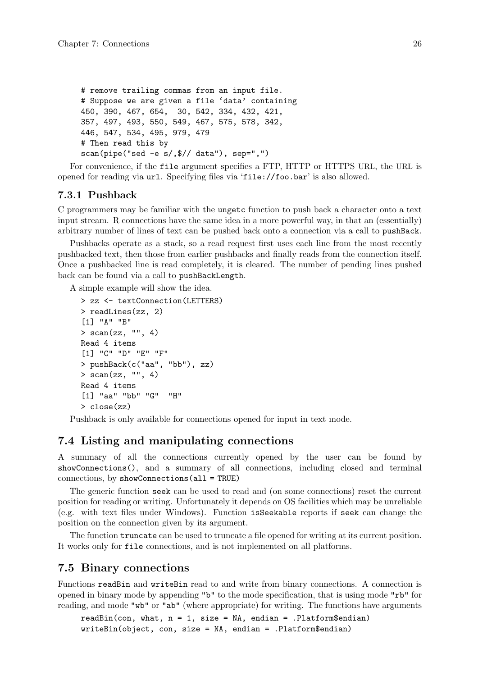```
# remove trailing commas from an input file.
# Suppose we are given a file 'data' containing
450, 390, 467, 654, 30, 542, 334, 432, 421,
357, 497, 493, 550, 549, 467, 575, 578, 342,
446, 547, 534, 495, 979, 479
# Then read this by
scan(pipe("sed -e s/,$// data"), sep=",")
```
For convenience, if the file argument specifies a FTP, HTTP or HTTPS URL, the URL is opened for reading via url. Specifying files via 'file://foo.bar' is also allowed.

### 7.3.1 Pushback

C programmers may be familiar with the ungetc function to push back a character onto a text input stream. R connections have the same idea in a more powerful way, in that an (essentially) arbitrary number of lines of text can be pushed back onto a connection via a call to pushBack.

Pushbacks operate as a stack, so a read request first uses each line from the most recently pushbacked text, then those from earlier pushbacks and finally reads from the connection itself. Once a pushbacked line is read completely, it is cleared. The number of pending lines pushed back can be found via a call to pushBackLength.

A simple example will show the idea.

```
> zz <- textConnection(LETTERS)
> readLines(zz, 2)
[1] "A" "B"
> scan(zz, "", 4)
Read 4 items
[1] "C" "D" "E" "F"
> pushBack(c("aa", "bb"), zz)
> scan(zz, "", 4)
Read 4 items
[1] "aa" "bb" "G" "H"
> close(zz)
```
Pushback is only available for connections opened for input in text mode.

### 7.4 Listing and manipulating connections

A summary of all the connections currently opened by the user can be found by showConnections(), and a summary of all connections, including closed and terminal connections, by showConnections(all = TRUE)

The generic function seek can be used to read and (on some connections) reset the current position for reading or writing. Unfortunately it depends on OS facilities which may be unreliable (e.g. with text files under Windows). Function isSeekable reports if seek can change the position on the connection given by its argument.

The function truncate can be used to truncate a file opened for writing at its current position. It works only for file connections, and is not implemented on all platforms.

### <span id="page-29-1"></span>7.5 Binary connections

Functions readBin and writeBin read to and write from binary connections. A connection is opened in binary mode by appending "b" to the mode specification, that is using mode "rb" for reading, and mode "wb" or "ab" (where appropriate) for writing. The functions have arguments

 $readBin(con, what, n = 1, size = NA, endian = .Platform$endian)$ writeBin(object, con, size = NA, endian = .Platform\$endian)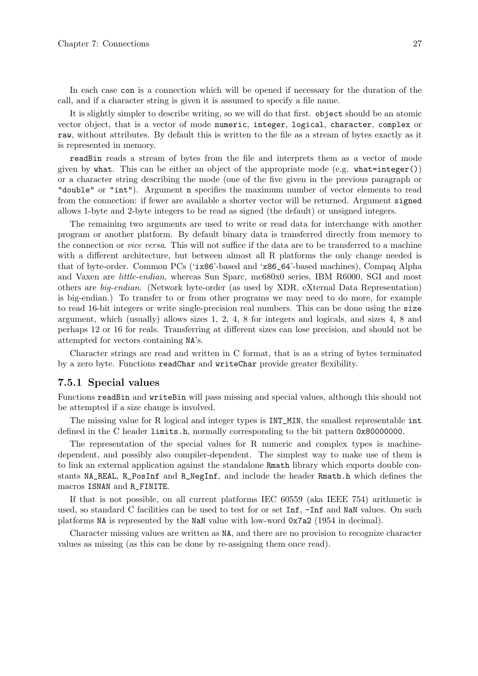<span id="page-30-0"></span>In each case con is a connection which will be opened if necessary for the duration of the call, and if a character string is given it is assumed to specify a file name.

It is slightly simpler to describe writing, so we will do that first. object should be an atomic vector object, that is a vector of mode numeric, integer, logical, character, complex or raw, without attributes. By default this is written to the file as a stream of bytes exactly as it is represented in memory.

readBin reads a stream of bytes from the file and interprets them as a vector of mode given by what. This can be either an object of the appropriate mode (e.g. what=integer()) or a character string describing the mode (one of the five given in the previous paragraph or "double" or "int"). Argument n specifies the maximum number of vector elements to read from the connection: if fewer are available a shorter vector will be returned. Argument signed allows 1-byte and 2-byte integers to be read as signed (the default) or unsigned integers.

The remaining two arguments are used to write or read data for interchange with another program or another platform. By default binary data is transferred directly from memory to the connection or vice versa. This will not suffice if the data are to be transferred to a machine with a different architecture, but between almost all R platforms the only change needed is that of byte-order. Common PCs ('ix86'-based and 'x86\_64'-based machines), Compaq Alpha and Vaxen are little-endian, whereas Sun Sparc, mc680x0 series, IBM R6000, SGI and most others are big-endian. (Network byte-order (as used by XDR, eXternal Data Representation) is big-endian.) To transfer to or from other programs we may need to do more, for example to read 16-bit integers or write single-precision real numbers. This can be done using the size argument, which (usually) allows sizes 1, 2, 4, 8 for integers and logicals, and sizes 4, 8 and perhaps 12 or 16 for reals. Transferring at different sizes can lose precision, and should not be attempted for vectors containing NA's.

Character strings are read and written in C format, that is as a string of bytes terminated by a zero byte. Functions readChar and writeChar provide greater flexibility.

#### 7.5.1 Special values

Functions readBin and writeBin will pass missing and special values, although this should not be attempted if a size change is involved.

The missing value for R logical and integer types is INT\_MIN, the smallest representable int defined in the C header limits.h, normally corresponding to the bit pattern 0x80000000.

The representation of the special values for R numeric and complex types is machinedependent, and possibly also compiler-dependent. The simplest way to make use of them is to link an external application against the standalone Rmath library which exports double constants NA\_REAL, R\_PosInf and R\_NegInf, and include the header Rmath.h which defines the macros ISNAN and R\_FINITE.

If that is not possible, on all current platforms IEC 60559 (aka IEEE 754) arithmetic is used, so standard C facilities can be used to test for or set Inf, -Inf and NaN values. On such platforms NA is represented by the NaN value with low-word 0x7a2 (1954 in decimal).

Character missing values are written as NA, and there are no provision to recognize character values as missing (as this can be done by re-assigning them once read).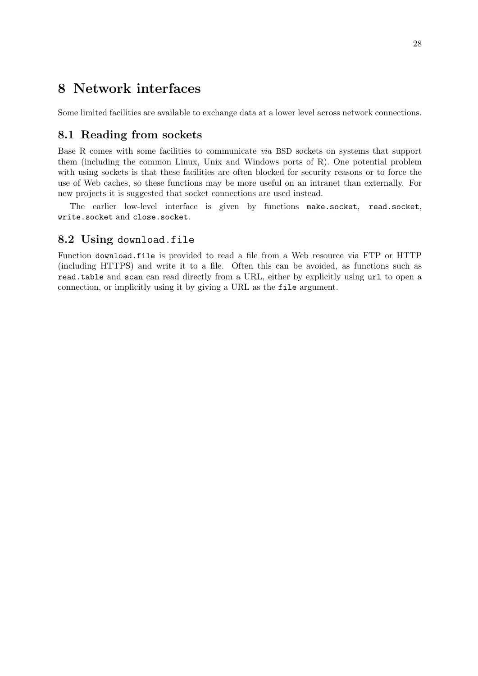## <span id="page-31-0"></span>8 Network interfaces

Some limited facilities are available to exchange data at a lower level across network connections.

### 8.1 Reading from sockets

Base R comes with some facilities to communicate via BSD sockets on systems that support them (including the common Linux, Unix and Windows ports of R). One potential problem with using sockets is that these facilities are often blocked for security reasons or to force the use of Web caches, so these functions may be more useful on an intranet than externally. For new projects it is suggested that socket connections are used instead.

The earlier low-level interface is given by functions make.socket, read.socket, write.socket and close.socket.

### 8.2 Using download.file

Function download.file is provided to read a file from a Web resource via FTP or HTTP (including HTTPS) and write it to a file. Often this can be avoided, as functions such as read.table and scan can read directly from a URL, either by explicitly using url to open a connection, or implicitly using it by giving a URL as the file argument.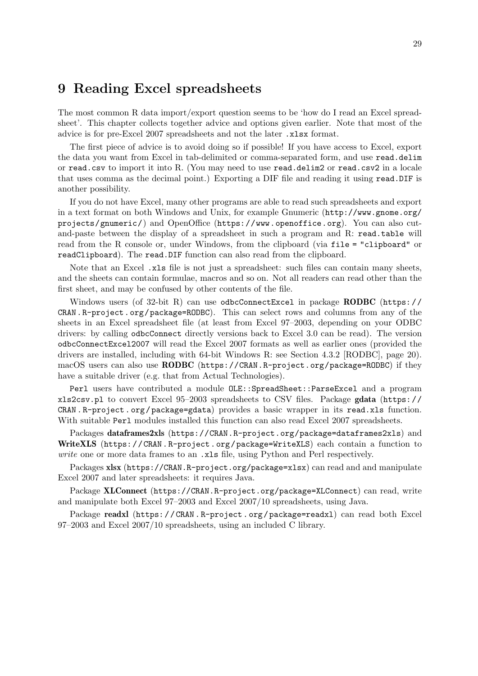### <span id="page-32-0"></span>9 Reading Excel spreadsheets

The most common R data import/export question seems to be 'how do I read an Excel spreadsheet'. This chapter collects together advice and options given earlier. Note that most of the advice is for pre-Excel 2007 spreadsheets and not the later .xlsx format.

The first piece of advice is to avoid doing so if possible! If you have access to Excel, export the data you want from Excel in tab-delimited or comma-separated form, and use read.delim or read.csv to import it into R. (You may need to use read.delim2 or read.csv2 in a locale that uses comma as the decimal point.) Exporting a DIF file and reading it using read.DIF is another possibility.

If you do not have Excel, many other programs are able to read such spreadsheets and export in a text format on both Windows and Unix, for example Gnumeric ([http://www.gnome.org/](http://www.gnome.org/projects/gnumeric/) [projects/gnumeric/](http://www.gnome.org/projects/gnumeric/)) and OpenOffice (<https://www.openoffice.org>). You can also cutand-paste between the display of a spreadsheet in such a program and R: read.table will read from the R console or, under Windows, from the clipboard (via file = "clipboard" or readClipboard). The read.DIF function can also read from the clipboard.

Note that an Excel .xls file is not just a spreadsheet: such files can contain many sheets, and the sheets can contain formulae, macros and so on. Not all readers can read other than the first sheet, and may be confused by other contents of the file.

Windows users (of 32-bit R) can use odbcConnectExcel in package  $\text{RODBC}$  (https:// CRAN. R-project.org/package=RODBC). This can select rows and columns from any of the sheets in an Excel spreadsheet file (at least from Excel 97–2003, depending on your ODBC drivers: by calling odbcConnect directly versions back to Excel 3.0 can be read). The version odbcConnectExcel2007 will read the Excel 2007 formats as well as earlier ones (provided the drivers are installed, including with 64-bit Windows R: see [Section 4.3.2 \[RODBC\], page 20](#page-23-1)). macOS users can also use **RODBC** (<https://CRAN.R-project.org/package=RODBC>) if they have a suitable driver (e.g. that from Actual Technologies).

Perl users have contributed a module OLE::SpreadSheet::ParseExcel and a program xls2csv.pl to convert Excel 95–2003 spreadsheets to CSV files. Package gdata ([https://](https://CRAN.R-project.org/package=gdata) [CRAN . R-project . org / package=gdata](https://CRAN.R-project.org/package=gdata)) provides a basic wrapper in its read.xls function. With suitable Perl modules installed this function can also read Excel 2007 spreadsheets.

Packages dataframes2xls (<https://CRAN.R-project.org/package=dataframes2xls>) and WriteXLS (https://CRAN.R-project.org/package=WriteXLS) each contain a function to write one or more data frames to an .xls file, using Python and Perl respectively.

Packages xlsx (<https://CRAN.R-project.org/package=xlsx>) can read and and manipulate Excel 2007 and later spreadsheets: it requires Java.

Package XLConnect (<https://CRAN.R-project.org/package=XLConnect>) can read, write and manipulate both Excel 97–2003 and Excel 2007/10 spreadsheets, using Java.

Package readxl ([https: / / CRAN . R-project . org / package=readxl](https://CRAN.R-project.org/package=readxl)) can read both Excel 97–2003 and Excel 2007/10 spreadsheets, using an included C library.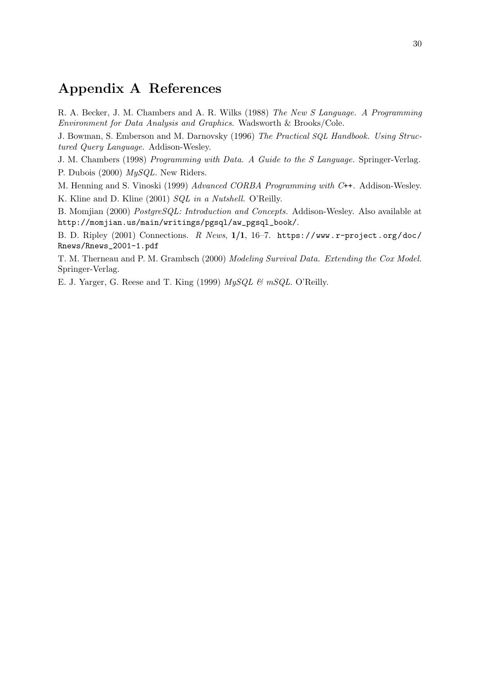### <span id="page-33-0"></span>Appendix A References

R. A. Becker, J. M. Chambers and A. R. Wilks (1988) The New S Language. A Programming Environment for Data Analysis and Graphics. Wadsworth & Brooks/Cole.

J. Bowman, S. Emberson and M. Darnovsky (1996) The Practical SQL Handbook. Using Structured Query Language. Addison-Wesley.

J. M. Chambers (1998) Programming with Data. A Guide to the S Language. Springer-Verlag. P. Dubois (2000) *MySQL*. New Riders.

M. Henning and S. Vinoski (1999) Advanced CORBA Programming with C++. Addison-Wesley. K. Kline and D. Kline (2001) SQL in a Nutshell. O'Reilly.

B. Momjian (2000) PostgreSQL: Introduction and Concepts. Addison-Wesley. Also available at [http://momjian.us/main/writings/pgsql/aw\\_pgsql\\_book/](http://momjian.us/main/writings/pgsql/aw_pgsql_book/).

B. D. Ripley (2001) Connections. R News, 1/1, 16–7. [https://www.r-project.org/doc/](https://www.r-project.org/doc/Rnews/Rnews_2001-1.pdf) [Rnews/Rnews\\_2001-1.pdf](https://www.r-project.org/doc/Rnews/Rnews_2001-1.pdf)

T. M. Therneau and P. M. Grambsch (2000) Modeling Survival Data. Extending the Cox Model. Springer-Verlag.

E. J. Yarger, G. Reese and T. King (1999)  $MySQL \& mSQL$ . O'Reilly.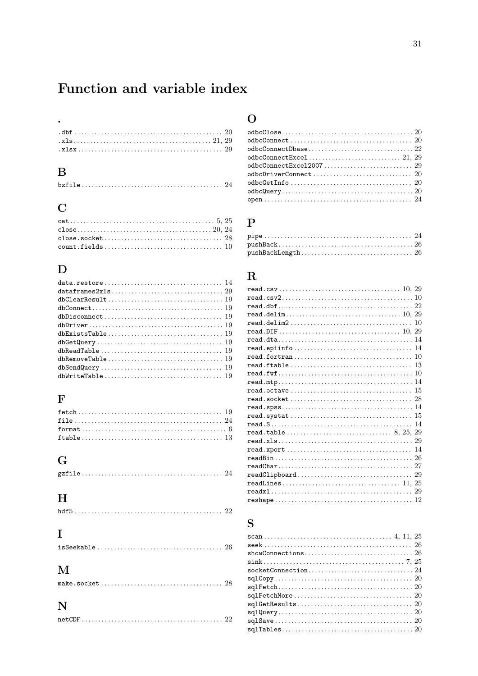## <span id="page-34-0"></span>Function and variable index

| $. x l s x          29$ |  |
|-------------------------|--|
|                         |  |

## $\overline{\mathbf{B}}$

|--|--|

## $\overline{\mathbf{C}}$

| $cat \ldots \ldots \ldots \ldots \ldots \ldots \ldots \ldots \ldots \ldots \ldots 5, 25$              |  |
|-------------------------------------------------------------------------------------------------------|--|
|                                                                                                       |  |
|                                                                                                       |  |
| $count.fields \ldots \ldots \ldots \ldots \ldots \ldots \ldots \ldots \ldots \ldots \ldots \ldots 10$ |  |

## $\mathbf{D}$

| $dbClearResult \ldots \ldots \ldots \ldots \ldots \ldots \ldots \ldots \ldots \ldots 19$                  |
|-----------------------------------------------------------------------------------------------------------|
| $dbConnect \ldots \ldots \ldots \ldots \ldots \ldots \ldots \ldots \ldots \ldots \ldots \ldots \ldots 19$ |
|                                                                                                           |
|                                                                                                           |
|                                                                                                           |
|                                                                                                           |
|                                                                                                           |
|                                                                                                           |
|                                                                                                           |
|                                                                                                           |
|                                                                                                           |

## $\overline{\mathbf{F}}$

## $\overline{G}$

| H |  |
|---|--|
|   |  |
| T |  |

| $\mathbf{\mathbf{\mathbf{I}}}$                                                              |  |
|---------------------------------------------------------------------------------------------|--|
| $is See table \dots \dots \dots \dots \dots \dots \dots \dots \dots \dots \dots \dots \ 26$ |  |

## $\mathbf{M}$

| ${\bf N}$ |  |  |  |
|-----------|--|--|--|

|--|

## $\overline{O}$

## $\mathbf P$

## $\overline{\mathbf{R}}$

| $\texttt{read.csv} \dots \dots \dots \dots \dots \dots \dots \dots \dots \dots \dots \ 10, 29$                     |
|--------------------------------------------------------------------------------------------------------------------|
|                                                                                                                    |
| $\mathtt{read.dbf} \ldots 22$                                                                                      |
| $\mathtt{read}. \mathtt{delim} \dots \dots \dots \dots \dots \dots \dots \dots \dots \dots \ 10, \ 29$             |
| $\mathtt{read}. \mathtt{delim2} \dots \dots \dots \dots \dots \dots \dots \dots \dots \dots \dots \ 10$            |
|                                                                                                                    |
|                                                                                                                    |
|                                                                                                                    |
|                                                                                                                    |
| $\mathtt{read}. \mathtt{ftable} \dots \dots \dots \dots \dots \dots \dots \dots \dots \dots \ 13$                  |
| $\mathtt{read.fwf} \ldots \ldots \ldots \ldots \ldots \ldots \ldots \ldots \ldots \ldots \ldots \ldots \ldots 10$  |
|                                                                                                                    |
| $\mathtt{read}.\mathtt{octave} \dots \dots \dots \dots \dots \dots \dots \dots \dots \dots \ 15$                   |
|                                                                                                                    |
|                                                                                                                    |
| $\mathtt{read}. \mathtt{system} \ldots \ldots \ldots \ldots \ldots \ldots \ldots \ldots \ldots \ldots \ 15$        |
|                                                                                                                    |
|                                                                                                                    |
| $\mathtt{read}.\mathtt{xls}.\ldots.\ldots.\ldots.\ldots.\ldots.\ldots.\ldots.\ldots.29$                            |
| $read xport \dots \dots \dots \dots \dots \dots \dots \dots \dots \dots \dots \dots \dots \dots \dots \dots \dots$ |
| $\mathtt{readBin} \ldots \ldots \ldots \ldots \ldots \ldots \ldots \ldots \ldots \ldots \ldots \ldots \ 26$        |
|                                                                                                                    |
|                                                                                                                    |
| $readLines \dots \dots \dots \dots \dots \dots \dots \dots \dots \dots \dots \ 11, 25$                             |
| $\mathtt{readx1}\dots\dots\dots\dots\dots\dots\dots\dots\dots\dots\dots\dots\dots\ 29$                             |
|                                                                                                                    |
|                                                                                                                    |

## $\mathbf S$

| $show connections \ldots \ldots \ldots \ldots \ldots \ldots \ldots \ldots \ldots \ldots \ldots \ldots 26$ |
|-----------------------------------------------------------------------------------------------------------|
|                                                                                                           |
| $\texttt{socketConnection} \dots \dots \dots \dots \dots \dots \dots \dots \dots \dots \ 24$              |
|                                                                                                           |
| $\texttt{sqlFetch} \dots \dots \dots \dots \dots \dots \dots \dots \dots \dots \dots \dots \dots \ 20$    |
| $\texttt{sqlFetchMore}\dots\dots\dots\dots\dots\dots\dots\dots\dots\dots\dots\dots \ 20$                  |
| $sqlGetResults \ldots \ldots \ldots \ldots \ldots \ldots \ldots \ldots \ldots \ldots \ldots \ldots 20$    |
|                                                                                                           |
|                                                                                                           |
|                                                                                                           |
|                                                                                                           |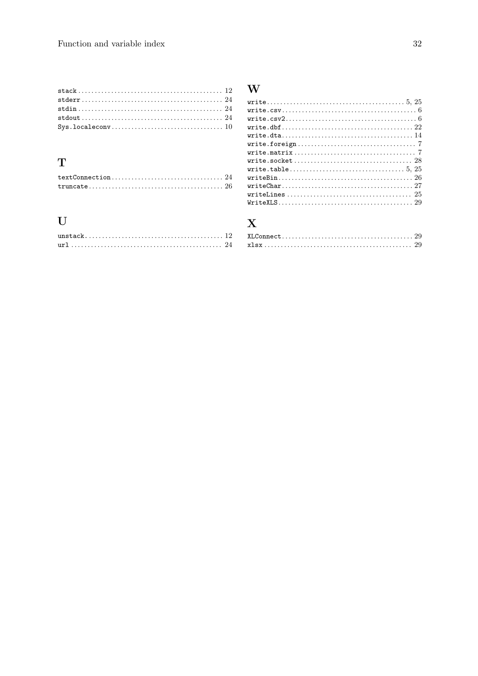## $\mathbf T$

## $\mathbf U$

## $\mathbf W$

## $\mathbf X$